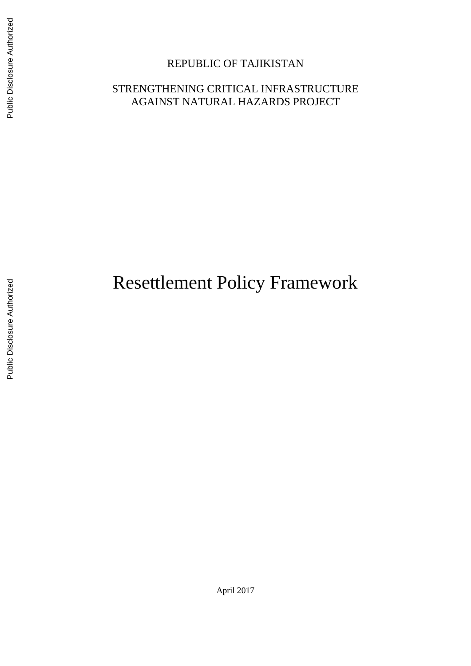# REPUBLIC OF TAJIKISTAN

# STRENGTHENING CRITICAL INFRASTRUCTURE AGAINST NATURAL HAZARDS PROJECT

# Resettlement Policy Framework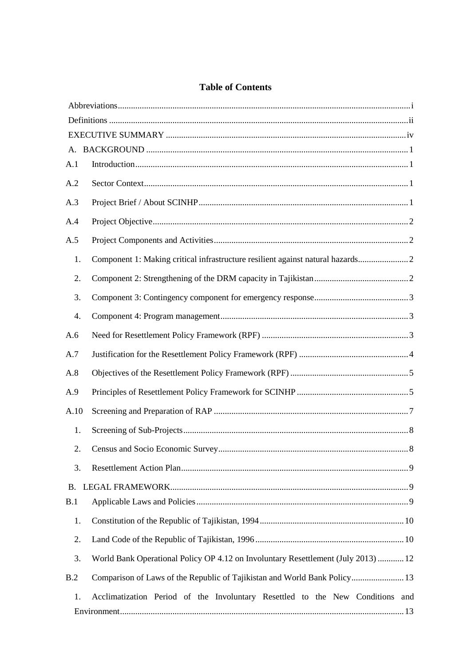# **Table of Contents**

| A.1       |                                                                                   |  |
|-----------|-----------------------------------------------------------------------------------|--|
|           |                                                                                   |  |
| A.2       |                                                                                   |  |
| A.3       |                                                                                   |  |
| A.4       |                                                                                   |  |
| A.5       |                                                                                   |  |
| 1.        | Component 1: Making critical infrastructure resilient against natural hazards     |  |
| 2.        |                                                                                   |  |
| 3.        |                                                                                   |  |
| 4.        |                                                                                   |  |
| A.6       |                                                                                   |  |
| A.7       |                                                                                   |  |
| A.8       |                                                                                   |  |
| A.9       |                                                                                   |  |
| A.10      |                                                                                   |  |
| 1.        |                                                                                   |  |
| 2.        |                                                                                   |  |
| 3.        |                                                                                   |  |
| <b>B.</b> |                                                                                   |  |
| B.1       |                                                                                   |  |
| 1.        |                                                                                   |  |
| 2.        |                                                                                   |  |
| 3.        | World Bank Operational Policy OP 4.12 on Involuntary Resettlement (July 2013)  12 |  |
| B.2       | Comparison of Laws of the Republic of Tajikistan and World Bank Policy 13         |  |
| 1.        | Acclimatization Period of the Involuntary Resettled to the New Conditions and     |  |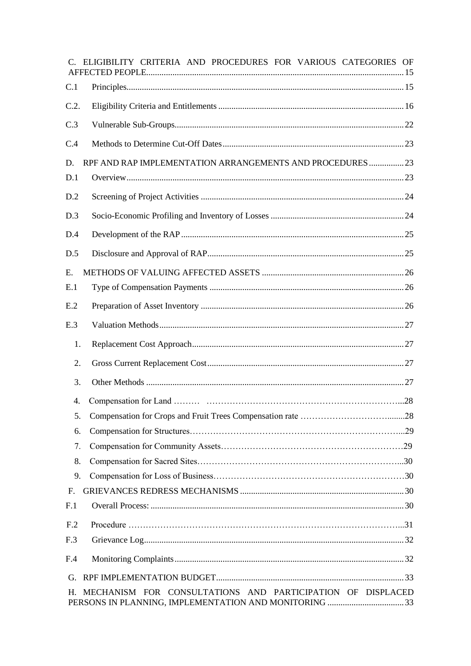| C. ELIGIBILITY CRITERIA AND PROCEDURES FOR VARIOUS CATEGORIES OF |  |
|------------------------------------------------------------------|--|
| C.1                                                              |  |
| C.2.                                                             |  |
| C.3                                                              |  |
| C.4                                                              |  |
| RPF AND RAP IMPLEMENTATION ARRANGEMENTS AND PROCEDURES  23<br>D. |  |
| D.1                                                              |  |
| D.2                                                              |  |
| D.3                                                              |  |
| D.4                                                              |  |
| D.5                                                              |  |
| E.                                                               |  |
| E.1                                                              |  |
| E.2                                                              |  |
| E.3                                                              |  |
| 1.                                                               |  |
| 2.                                                               |  |
| 3.                                                               |  |
| 4.                                                               |  |
| 5.                                                               |  |
| 6.                                                               |  |
| 7.                                                               |  |
| 8.                                                               |  |
| 9.                                                               |  |
| F.                                                               |  |
| F <sub>1</sub>                                                   |  |
| F <sub>.2</sub>                                                  |  |
| F <sub>.3</sub>                                                  |  |
| F.4                                                              |  |
| G.                                                               |  |
| MECHANISM FOR CONSULTATIONS AND PARTICIPATION OF DISPLACED<br>H. |  |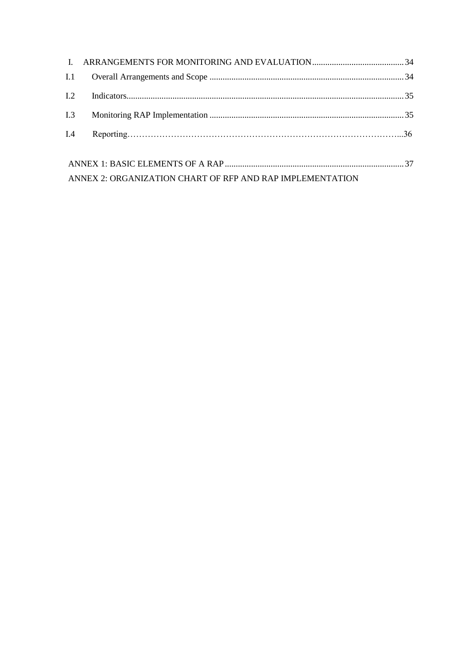| I.1            |                                                           |  |  |  |
|----------------|-----------------------------------------------------------|--|--|--|
| L <sub>2</sub> |                                                           |  |  |  |
| I.3            |                                                           |  |  |  |
| I.4            |                                                           |  |  |  |
|                |                                                           |  |  |  |
|                |                                                           |  |  |  |
|                | ANNEX 2: ORGANIZATION CHART OF RFP AND RAP IMPLEMENTATION |  |  |  |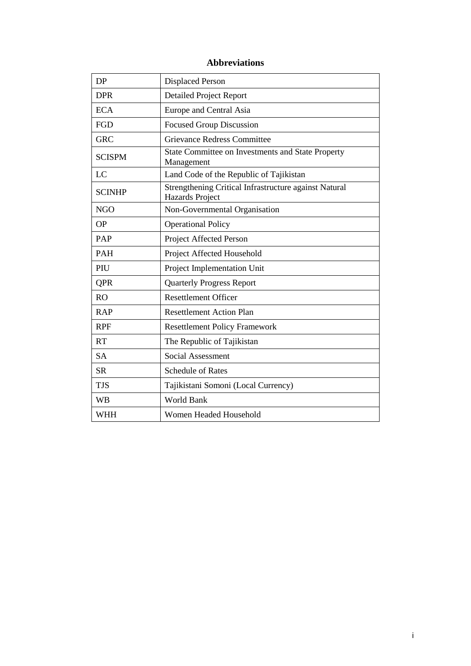# **Abbreviations**

<span id="page-4-0"></span>

| <b>DP</b>     | <b>Displaced Person</b>                                                  |  |  |
|---------------|--------------------------------------------------------------------------|--|--|
| <b>DPR</b>    | <b>Detailed Project Report</b>                                           |  |  |
| <b>ECA</b>    | Europe and Central Asia                                                  |  |  |
| FGD           | <b>Focused Group Discussion</b>                                          |  |  |
| <b>GRC</b>    | <b>Grievance Redress Committee</b>                                       |  |  |
| <b>SCISPM</b> | State Committee on Investments and State Property<br>Management          |  |  |
| LC            | Land Code of the Republic of Tajikistan                                  |  |  |
| <b>SCINHP</b> | Strengthening Critical Infrastructure against Natural<br>Hazards Project |  |  |
| <b>NGO</b>    | Non-Governmental Organisation                                            |  |  |
| <b>OP</b>     | <b>Operational Policy</b>                                                |  |  |
| PAP           | Project Affected Person                                                  |  |  |
| <b>PAH</b>    | Project Affected Household                                               |  |  |
| PIU           | Project Implementation Unit                                              |  |  |
| <b>QPR</b>    | <b>Quarterly Progress Report</b>                                         |  |  |
| RO            | <b>Resettlement Officer</b>                                              |  |  |
| <b>RAP</b>    | <b>Resettlement Action Plan</b>                                          |  |  |
| <b>RPF</b>    | <b>Resettlement Policy Framework</b>                                     |  |  |
| <b>RT</b>     | The Republic of Tajikistan                                               |  |  |
| <b>SA</b>     | <b>Social Assessment</b>                                                 |  |  |
| <b>SR</b>     | <b>Schedule of Rates</b>                                                 |  |  |
| <b>TJS</b>    | Tajikistani Somoni (Local Currency)                                      |  |  |
| <b>WB</b>     | <b>World Bank</b>                                                        |  |  |
| <b>WHH</b>    | Women Headed Household                                                   |  |  |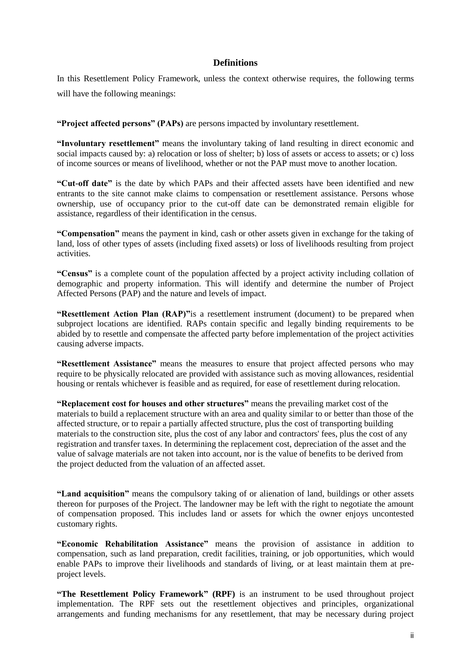# **Definitions**

<span id="page-5-0"></span>In this Resettlement Policy Framework, unless the context otherwise requires, the following terms will have the following meanings:

**"Project affected persons" (PAPs)** are persons impacted by involuntary resettlement.

**"Involuntary resettlement"** means the involuntary taking of land resulting in direct economic and social impacts caused by: a) relocation or loss of shelter; b) loss of assets or access to assets; or c) loss of income sources or means of livelihood, whether or not the PAP must move to another location.

**"Cut-off date"** is the date by which PAPs and their affected assets have been identified and new entrants to the site cannot make claims to compensation or resettlement assistance. Persons whose ownership, use of occupancy prior to the cut-off date can be demonstrated remain eligible for assistance, regardless of their identification in the census.

**"Compensation"** means the payment in kind, cash or other assets given in exchange for the taking of land, loss of other types of assets (including fixed assets) or loss of livelihoods resulting from project activities.

**"Census"** is a complete count of the population affected by a project activity including collation of demographic and property information. This will identify and determine the number of Project Affected Persons (PAP) and the nature and levels of impact.

**"Resettlement Action Plan (RAP)"**is a resettlement instrument (document) to be prepared when subproject locations are identified. RAPs contain specific and legally binding requirements to be abided by to resettle and compensate the affected party before implementation of the project activities causing adverse impacts.

**"Resettlement Assistance"** means the measures to ensure that project affected persons who may require to be physically relocated are provided with assistance such as moving allowances, residential housing or rentals whichever is feasible and as required, for ease of resettlement during relocation.

**"Replacement cost for houses and other structures"** means the prevailing market cost of the materials to build a replacement structure with an area and quality similar to or better than those of the affected structure, or to repair a partially affected structure, plus the cost of transporting building materials to the construction site, plus the cost of any labor and contractors' fees, plus the cost of any registration and transfer taxes. In determining the replacement cost, depreciation of the asset and the value of salvage materials are not taken into account, nor is the value of benefits to be derived from the project deducted from the valuation of an affected asset.

**"Land acquisition"** means the compulsory taking of or alienation of land, buildings or other assets thereon for purposes of the Project. The landowner may be left with the right to negotiate the amount of compensation proposed. This includes land or assets for which the owner enjoys uncontested customary rights.

**"Economic Rehabilitation Assistance"** means the provision of assistance in addition to compensation, such as land preparation, credit facilities, training, or job opportunities, which would enable PAPs to improve their livelihoods and standards of living, or at least maintain them at preproject levels.

**"The Resettlement Policy Framework" (RPF)** is an instrument to be used throughout project implementation. The RPF sets out the resettlement objectives and principles, organizational arrangements and funding mechanisms for any resettlement, that may be necessary during project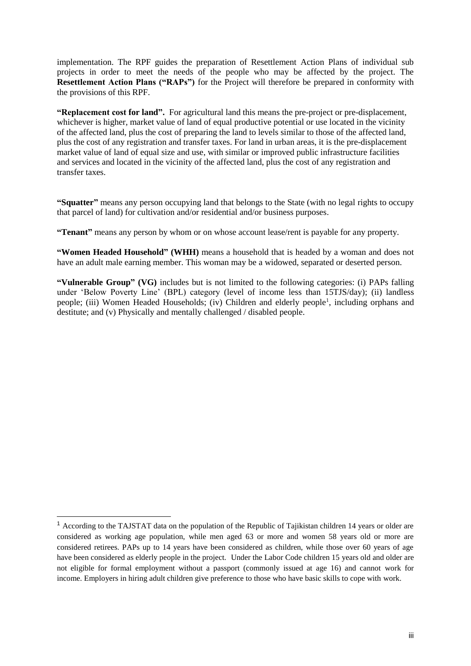implementation. The RPF guides the preparation of Resettlement Action Plans of individual sub projects in order to meet the needs of the people who may be affected by the project. The **Resettlement Action Plans ("RAPs")** for the Project will therefore be prepared in conformity with the provisions of this RPF.

**"Replacement cost for land".** For agricultural land this means the pre-project or pre-displacement, whichever is higher, market value of land of equal productive potential or use located in the vicinity of the affected land, plus the cost of preparing the land to levels similar to those of the affected land, plus the cost of any registration and transfer taxes. For land in urban areas, it is the pre-displacement market value of land of equal size and use, with similar or improved public infrastructure facilities and services and located in the vicinity of the affected land, plus the cost of any registration and transfer taxes.

**"Squatter"** means any person occupying land that belongs to the State (with no legal rights to occupy that parcel of land) for cultivation and/or residential and/or business purposes.

**"Tenant"** means any person by whom or on whose account lease/rent is payable for any property.

**"Women Headed Household" (WHH)** means a household that is headed by a woman and does not have an adult male earning member. This woman may be a widowed, separated or deserted person.

**"Vulnerable Group" (VG)** includes but is not limited to the following categories: (i) PAPs falling under 'Below Poverty Line' (BPL) category (level of income less than 15TJS/day); (ii) landless people; (iii) Women Headed Households; (iv) Children and elderly people<sup>1</sup>, including orphans and destitute; and (v) Physically and mentally challenged / disabled people.

-

<sup>1</sup> According to the TAJSTAT data on the population of the Republic of Tajikistan children 14 years or older are considered as working age population, while men aged 63 or more and women 58 years old or more are considered retirees. PAPs up to 14 years have been considered as children, while those over 60 years of age have been considered as elderly people in the project. Under the Labor Code children 15 years old and older are not eligible for formal employment without a passport (commonly issued at age 16) and cannot work for income. Employers in hiring adult children give preference to those who have basic skills to cope with work.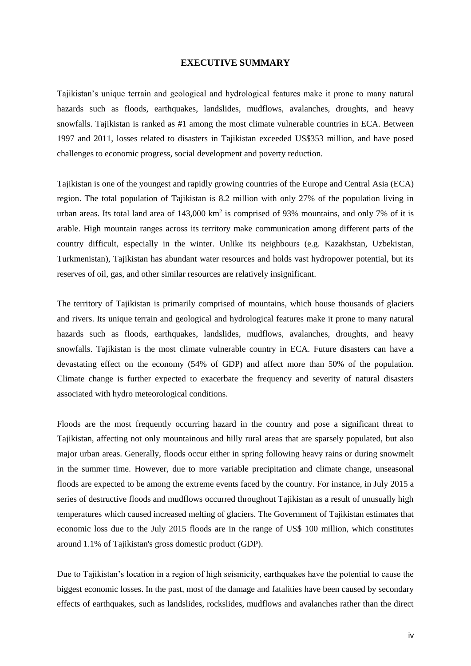#### **EXECUTIVE SUMMARY**

<span id="page-7-0"></span>Tajikistan's unique terrain and geological and hydrological features make it prone to many natural hazards such as floods, earthquakes, landslides, mudflows, avalanches, droughts, and heavy snowfalls. Tajikistan is ranked as #1 among the most climate vulnerable countries in ECA. Between 1997 and 2011, losses related to disasters in Tajikistan exceeded US\$353 million, and have posed challenges to economic progress, social development and poverty reduction.

Tajikistan is one of the youngest and rapidly growing countries of the Europe and Central Asia (ECA) region. The total population of Tajikistan is 8.2 million with only 27% of the population living in urban areas. Its total land area of 143,000 km<sup>2</sup> is comprised of 93% mountains, and only 7% of it is arable. High mountain ranges across its territory make communication among different parts of the country difficult, especially in the winter. Unlike its neighbours (e.g. Kazakhstan, Uzbekistan, Turkmenistan), Tajikistan has abundant water resources and holds vast hydropower potential, but its reserves of oil, gas, and other similar resources are relatively insignificant.

The territory of Tajikistan is primarily comprised of mountains, which house thousands of glaciers and rivers. Its unique terrain and geological and hydrological features make it prone to many natural hazards such as floods, earthquakes, landslides, mudflows, avalanches, droughts, and heavy snowfalls. Tajikistan is the most climate vulnerable country in ECA. Future disasters can have a devastating effect on the economy (54% of GDP) and affect more than 50% of the population. Climate change is further expected to exacerbate the frequency and severity of natural disasters associated with hydro meteorological conditions.

Floods are the most frequently occurring hazard in the country and pose a significant threat to Tajikistan, affecting not only mountainous and hilly rural areas that are sparsely populated, but also major urban areas. Generally, floods occur either in spring following heavy rains or during snowmelt in the summer time. However, due to more variable precipitation and climate change, unseasonal floods are expected to be among the extreme events faced by the country. For instance, in July 2015 a series of destructive floods and mudflows occurred throughout Tajikistan as a result of unusually high temperatures which caused increased melting of glaciers. The Government of Tajikistan estimates that economic loss due to the July 2015 floods are in the range of US\$ 100 million, which constitutes around 1.1% of Tajikistan's gross domestic product (GDP).

Due to Tajikistan's location in a region of high seismicity, earthquakes have the potential to cause the biggest economic losses. In the past, most of the damage and fatalities have been caused by secondary effects of earthquakes, such as landslides, rockslides, mudflows and avalanches rather than the direct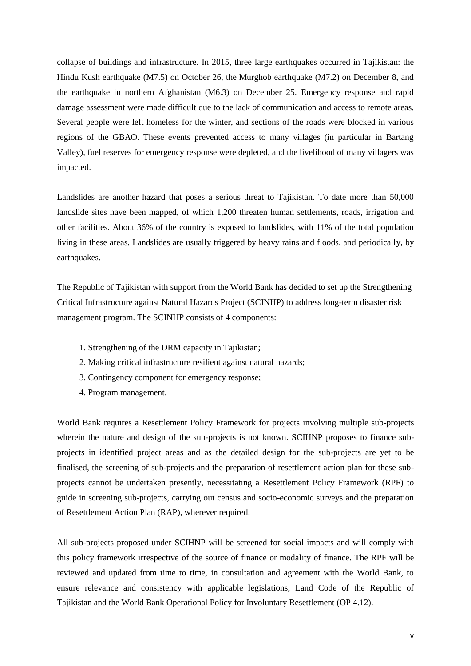collapse of buildings and infrastructure. In 2015, three large earthquakes occurred in Tajikistan: the Hindu Kush earthquake (M7.5) on October 26, the Murghob earthquake (M7.2) on December 8, and the earthquake in northern Afghanistan (M6.3) on December 25. Emergency response and rapid damage assessment were made difficult due to the lack of communication and access to remote areas. Several people were left homeless for the winter, and sections of the roads were blocked in various regions of the GBAO. These events prevented access to many villages (in particular in Bartang Valley), fuel reserves for emergency response were depleted, and the livelihood of many villagers was impacted.

Landslides are another hazard that poses a serious threat to Tajikistan. To date more than 50,000 landslide sites have been mapped, of which 1,200 threaten human settlements, roads, irrigation and other facilities. About 36% of the country is exposed to landslides, with 11% of the total population living in these areas. Landslides are usually triggered by heavy rains and floods, and periodically, by earthquakes.

The Republic of Tajikistan with support from the World Bank has decided to set up the Strengthening Critical Infrastructure against Natural Hazards Project (SCINHP) to address long-term disaster risk management program. The SCINHP consists of 4 components:

- 1. Strengthening of the DRM capacity in Tajikistan;
- 2. Making critical infrastructure resilient against natural hazards;
- 3. Contingency component for emergency response;
- 4. Program management.

World Bank requires a Resettlement Policy Framework for projects involving multiple sub-projects wherein the nature and design of the sub-projects is not known. SCIHNP proposes to finance subprojects in identified project areas and as the detailed design for the sub-projects are yet to be finalised, the screening of sub-projects and the preparation of resettlement action plan for these subprojects cannot be undertaken presently, necessitating a Resettlement Policy Framework (RPF) to guide in screening sub-projects, carrying out census and socio-economic surveys and the preparation of Resettlement Action Plan (RAP), wherever required.

All sub-projects proposed under SCIHNP will be screened for social impacts and will comply with this policy framework irrespective of the source of finance or modality of finance. The RPF will be reviewed and updated from time to time, in consultation and agreement with the World Bank, to ensure relevance and consistency with applicable legislations, Land Code of the Republic of Tajikistan and the World Bank Operational Policy for Involuntary Resettlement (OP 4.12).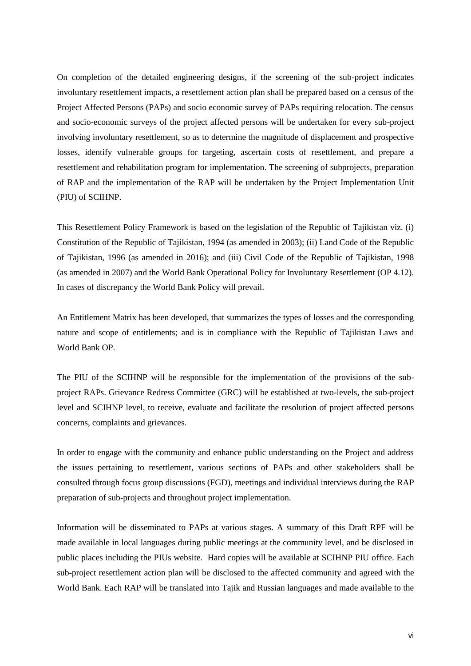On completion of the detailed engineering designs, if the screening of the sub-project indicates involuntary resettlement impacts, a resettlement action plan shall be prepared based on a census of the Project Affected Persons (PAPs) and socio economic survey of PAPs requiring relocation. The census and socio-economic surveys of the project affected persons will be undertaken for every sub-project involving involuntary resettlement, so as to determine the magnitude of displacement and prospective losses, identify vulnerable groups for targeting, ascertain costs of resettlement, and prepare a resettlement and rehabilitation program for implementation. The screening of subprojects, preparation of RAP and the implementation of the RAP will be undertaken by the Project Implementation Unit (PIU) of SCIHNP.

This Resettlement Policy Framework is based on the legislation of the Republic of Tajikistan viz. (i) Constitution of the Republic of Tajikistan, 1994 (as amended in 2003); (ii) Land Code of the Republic of Tajikistan, 1996 (as amended in 2016); and (iii) Civil Code of the Republic of Tajikistan, 1998 (as amended in 2007) and the World Bank Operational Policy for Involuntary Resettlement (OP 4.12). In cases of discrepancy the World Bank Policy will prevail.

An Entitlement Matrix has been developed, that summarizes the types of losses and the corresponding nature and scope of entitlements; and is in compliance with the Republic of Tajikistan Laws and World Bank OP.

The PIU of the SCIHNP will be responsible for the implementation of the provisions of the subproject RAPs. Grievance Redress Committee (GRC) will be established at two-levels, the sub-project level and SCIHNP level, to receive, evaluate and facilitate the resolution of project affected persons concerns, complaints and grievances.

In order to engage with the community and enhance public understanding on the Project and address the issues pertaining to resettlement, various sections of PAPs and other stakeholders shall be consulted through focus group discussions (FGD), meetings and individual interviews during the RAP preparation of sub-projects and throughout project implementation.

Information will be disseminated to PAPs at various stages. A summary of this Draft RPF will be made available in local languages during public meetings at the community level, and be disclosed in public places including the PIUs website. Hard copies will be available at SCIHNP PIU office. Each sub-project resettlement action plan will be disclosed to the affected community and agreed with the World Bank. Each RAP will be translated into Tajik and Russian languages and made available to the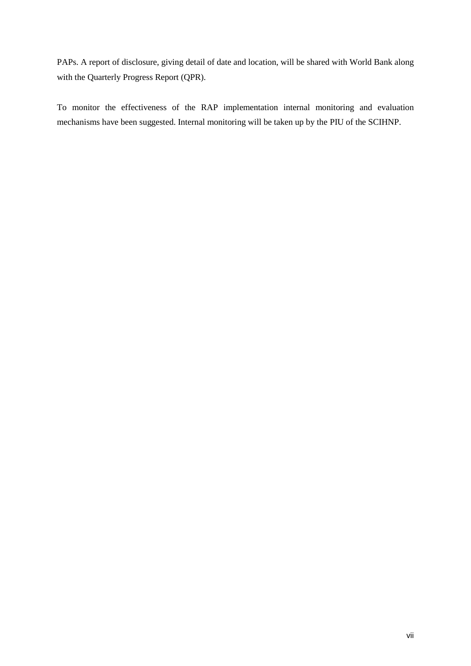PAPs. A report of disclosure, giving detail of date and location, will be shared with World Bank along with the Quarterly Progress Report (QPR).

To monitor the effectiveness of the RAP implementation internal monitoring and evaluation mechanisms have been suggested. Internal monitoring will be taken up by the PIU of the SCIHNP.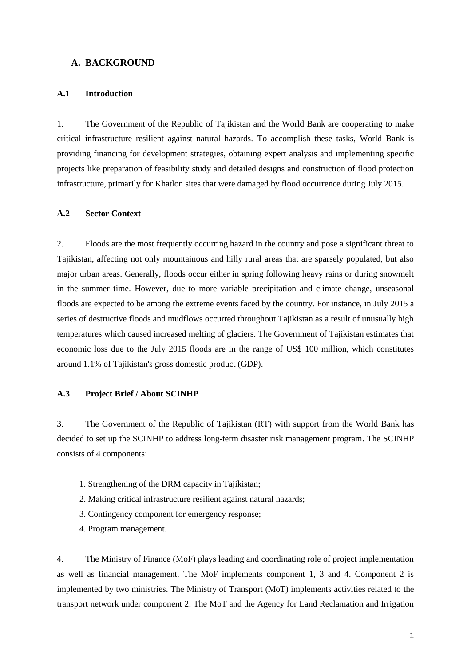# <span id="page-11-0"></span>**A. BACKGROUND**

#### <span id="page-11-1"></span>**A.1 Introduction**

1. The Government of the Republic of Tajikistan and the World Bank are cooperating to make critical infrastructure resilient against natural hazards. To accomplish these tasks, World Bank is providing financing for development strategies, obtaining expert analysis and implementing specific projects like preparation of feasibility study and detailed designs and construction of flood protection infrastructure, primarily for Khatlon sites that were damaged by flood occurrence during July 2015.

## <span id="page-11-2"></span>**A.2 Sector Context**

2. Floods are the most frequently occurring hazard in the country and pose a significant threat to Tajikistan, affecting not only mountainous and hilly rural areas that are sparsely populated, but also major urban areas. Generally, floods occur either in spring following heavy rains or during snowmelt in the summer time. However, due to more variable precipitation and climate change, unseasonal floods are expected to be among the extreme events faced by the country. For instance, in July 2015 a series of destructive floods and mudflows occurred throughout Tajikistan as a result of unusually high temperatures which caused increased melting of glaciers. The Government of Tajikistan estimates that economic loss due to the July 2015 floods are in the range of US\$ 100 million, which constitutes around 1.1% of Tajikistan's gross domestic product (GDP).

#### <span id="page-11-3"></span>**A.3 Project Brief / About SCINHP**

3. The Government of the Republic of Tajikistan (RT) with support from the World Bank has decided to set up the SCINHP to address long-term disaster risk management program. The SCINHP consists of 4 components:

- 1. Strengthening of the DRM capacity in Tajikistan;
- 2. Making critical infrastructure resilient against natural hazards;
- 3. Contingency component for emergency response;
- 4. Program management.

4. The Ministry of Finance (MoF) plays leading and coordinating role of project implementation as well as financial management. The MoF implements component 1, 3 and 4. Component 2 is implemented by two ministries. The Ministry of Transport (MoT) implements activities related to the transport network under component 2. The MoT and the Agency for Land Reclamation and Irrigation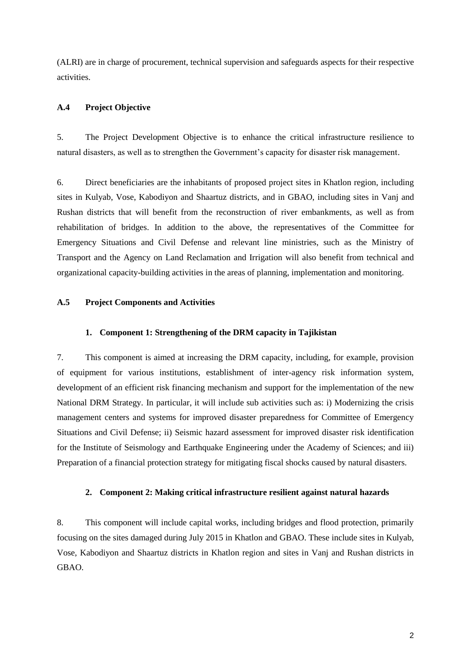(ALRI) are in charge of procurement, technical supervision and safeguards aspects for their respective activities.

## <span id="page-12-0"></span>**A.4 Project Objective**

5. The Project Development Objective is to enhance the critical infrastructure resilience to natural disasters, as well as to strengthen the Government's capacity for disaster risk management.

6. Direct beneficiaries are the inhabitants of proposed project sites in Khatlon region, including sites in Kulyab, Vose, Kabodiyon and Shaartuz districts, and in GBAO, including sites in Vanj and Rushan districts that will benefit from the reconstruction of river embankments, as well as from rehabilitation of bridges. In addition to the above, the representatives of the Committee for Emergency Situations and Civil Defense and relevant line ministries, such as the Ministry of Transport and the Agency on Land Reclamation and Irrigation will also benefit from technical and organizational capacity-building activities in the areas of planning, implementation and monitoring.

#### <span id="page-12-1"></span>**A.5 Project Components and Activities**

#### **1. Component 1: Strengthening of the DRM capacity in Tajikistan**

<span id="page-12-2"></span>7. This component is aimed at increasing the DRM capacity, including, for example, provision of equipment for various institutions, establishment of inter-agency risk information system, development of an efficient risk financing mechanism and support for the implementation of the new National DRM Strategy. In particular, it will include sub activities such as: i) Modernizing the crisis management centers and systems for improved disaster preparedness for Committee of Emergency Situations and Civil Defense; ii) Seismic hazard assessment for improved disaster risk identification for the Institute of Seismology and Earthquake Engineering under the Academy of Sciences; and iii) Preparation of a financial protection strategy for mitigating fiscal shocks caused by natural disasters.

#### <span id="page-12-3"></span>**2. Component 2: Making critical infrastructure resilient against natural hazards**

8. This component will include capital works, including bridges and flood protection, primarily focusing on the sites damaged during July 2015 in Khatlon and GBAO. These include sites in Kulyab, Vose, Kabodiyon and Shaartuz districts in Khatlon region and sites in Vanj and Rushan districts in GBAO.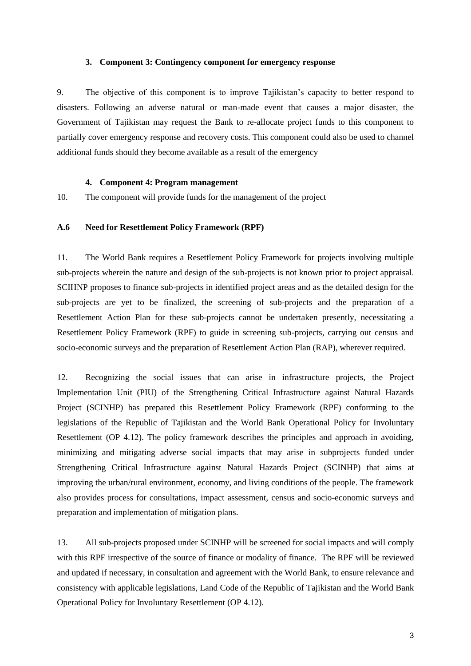#### **3. Component 3: Contingency component for emergency response**

<span id="page-13-0"></span>9. The objective of this component is to improve Tajikistan's capacity to better respond to disasters. Following an adverse natural or man-made event that causes a major disaster, the Government of Tajikistan may request the Bank to re-allocate project funds to this component to partially cover emergency response and recovery costs. This component could also be used to channel additional funds should they become available as a result of the emergency

#### **4. Component 4: Program management**

<span id="page-13-1"></span>10. The component will provide funds for the management of the project

#### <span id="page-13-2"></span>**A.6 Need for Resettlement Policy Framework (RPF)**

11. The World Bank requires a Resettlement Policy Framework for projects involving multiple sub-projects wherein the nature and design of the sub-projects is not known prior to project appraisal. SCIHNP proposes to finance sub-projects in identified project areas and as the detailed design for the sub-projects are yet to be finalized, the screening of sub-projects and the preparation of a Resettlement Action Plan for these sub-projects cannot be undertaken presently, necessitating a Resettlement Policy Framework (RPF) to guide in screening sub-projects, carrying out census and socio-economic surveys and the preparation of Resettlement Action Plan (RAP), wherever required.

12. Recognizing the social issues that can arise in infrastructure projects, the Project Implementation Unit (PIU) of the Strengthening Critical Infrastructure against Natural Hazards Project (SCINHP) has prepared this Resettlement Policy Framework (RPF) conforming to the legislations of the Republic of Tajikistan and the World Bank Operational Policy for Involuntary Resettlement (OP 4.12). The policy framework describes the principles and approach in avoiding, minimizing and mitigating adverse social impacts that may arise in subprojects funded under Strengthening Critical Infrastructure against Natural Hazards Project (SCINHP) that aims at improving the urban/rural environment, economy, and living conditions of the people. The framework also provides process for consultations, impact assessment, census and socio-economic surveys and preparation and implementation of mitigation plans.

13. All sub-projects proposed under SCINHP will be screened for social impacts and will comply with this RPF irrespective of the source of finance or modality of finance. The RPF will be reviewed and updated if necessary, in consultation and agreement with the World Bank, to ensure relevance and consistency with applicable legislations, Land Code of the Republic of Tajikistan and the World Bank Operational Policy for Involuntary Resettlement (OP 4.12).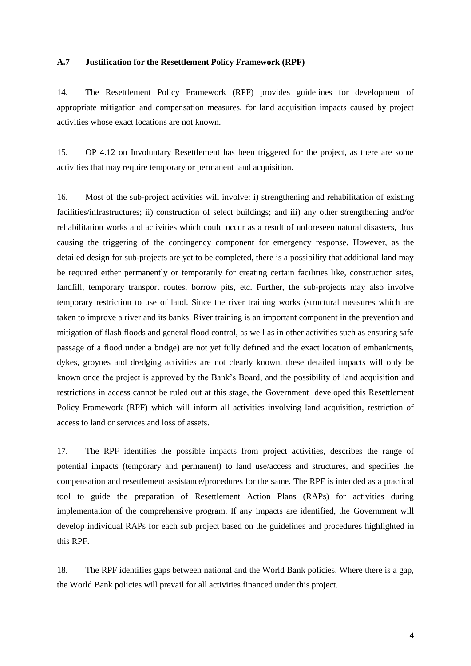#### <span id="page-14-0"></span>**A.7 Justification for the Resettlement Policy Framework (RPF)**

14. The Resettlement Policy Framework (RPF) provides guidelines for development of appropriate mitigation and compensation measures, for land acquisition impacts caused by project activities whose exact locations are not known.

15. OP 4.12 on Involuntary Resettlement has been triggered for the project, as there are some activities that may require temporary or permanent land acquisition.

16. Most of the sub-project activities will involve: i) strengthening and rehabilitation of existing facilities/infrastructures; ii) construction of select buildings; and iii) any other strengthening and/or rehabilitation works and activities which could occur as a result of unforeseen natural disasters, thus causing the triggering of the contingency component for emergency response. However, as the detailed design for sub-projects are yet to be completed, there is a possibility that additional land may be required either permanently or temporarily for creating certain facilities like, construction sites, landfill, temporary transport routes, borrow pits, etc. Further, the sub-projects may also involve temporary restriction to use of land. Since the river training works (structural measures which are taken to improve a river and its banks. River training is an important component in the prevention and mitigation of flash floods and general flood control, as well as in other activities such as ensuring safe passage of a flood under a bridge) are not yet fully defined and the exact location of embankments, dykes, groynes and dredging activities are not clearly known, these detailed impacts will only be known once the project is approved by the Bank's Board, and the possibility of land acquisition and restrictions in access cannot be ruled out at this stage, the Government developed this Resettlement Policy Framework (RPF) which will inform all activities involving land acquisition, restriction of access to land or services and loss of assets.

17. The RPF identifies the possible impacts from project activities, describes the range of potential impacts (temporary and permanent) to land use/access and structures, and specifies the compensation and resettlement assistance/procedures for the same. The RPF is intended as a practical tool to guide the preparation of Resettlement Action Plans (RAPs) for activities during implementation of the comprehensive program. If any impacts are identified, the Government will develop individual RAPs for each sub project based on the guidelines and procedures highlighted in this RPF.

18. The RPF identifies gaps between national and the World Bank policies. Where there is a gap, the World Bank policies will prevail for all activities financed under this project.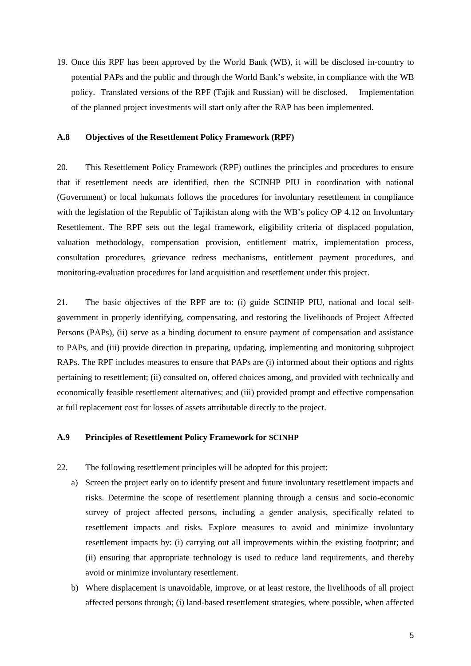19. Once this RPF has been approved by the World Bank (WB), it will be disclosed in-country to potential PAPs and the public and through the World Bank's website, in compliance with the WB policy. Translated versions of the RPF (Tajik and Russian) will be disclosed. Implementation of the planned project investments will start only after the RAP has been implemented.

#### <span id="page-15-0"></span>**A.8 Objectives of the Resettlement Policy Framework (RPF)**

20. This Resettlement Policy Framework (RPF) outlines the principles and procedures to ensure that if resettlement needs are identified, then the SCINHP PIU in coordination with national (Government) or local hukumats follows the procedures for involuntary resettlement in compliance with the legislation of the Republic of Tajikistan along with the WB's policy OP 4.12 on Involuntary Resettlement. The RPF sets out the legal framework, eligibility criteria of displaced population, valuation methodology, compensation provision, entitlement matrix, implementation process, consultation procedures, grievance redress mechanisms, entitlement payment procedures, and monitoring-evaluation procedures for land acquisition and resettlement under this project.

21. The basic objectives of the RPF are to: (i) guide SCINHP PIU, national and local selfgovernment in properly identifying, compensating, and restoring the livelihoods of Project Affected Persons (PAPs), (ii) serve as a binding document to ensure payment of compensation and assistance to PAPs, and (iii) provide direction in preparing, updating, implementing and monitoring subproject RAPs. The RPF includes measures to ensure that PAPs are (i) informed about their options and rights pertaining to resettlement; (ii) consulted on, offered choices among, and provided with technically and economically feasible resettlement alternatives; and (iii) provided prompt and effective compensation at full replacement cost for losses of assets attributable directly to the project.

#### <span id="page-15-1"></span>**A.9 Principles of Resettlement Policy Framework for SCINHP**

- 22. The following resettlement principles will be adopted for this project:
	- a) Screen the project early on to identify present and future involuntary resettlement impacts and risks. Determine the scope of resettlement planning through a census and socio-economic survey of project affected persons, including a gender analysis, specifically related to resettlement impacts and risks. Explore measures to avoid and minimize involuntary resettlement impacts by: (i) carrying out all improvements within the existing footprint; and (ii) ensuring that appropriate technology is used to reduce land requirements, and thereby avoid or minimize involuntary resettlement.
	- b) Where displacement is unavoidable, improve, or at least restore, the livelihoods of all project affected persons through; (i) land-based resettlement strategies, where possible, when affected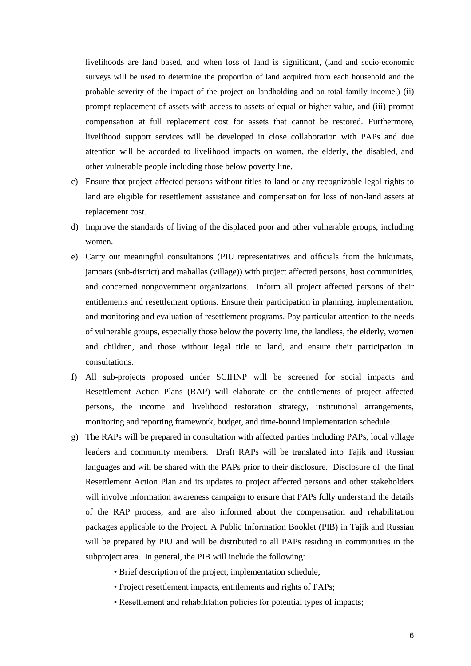livelihoods are land based, and when loss of land is significant, (land and socio-economic surveys will be used to determine the proportion of land acquired from each household and the probable severity of the impact of the project on landholding and on total family income.) (ii) prompt replacement of assets with access to assets of equal or higher value, and (iii) prompt compensation at full replacement cost for assets that cannot be restored. Furthermore, livelihood support services will be developed in close collaboration with PAPs and due attention will be accorded to livelihood impacts on women, the elderly, the disabled, and other vulnerable people including those below poverty line.

- c) Ensure that project affected persons without titles to land or any recognizable legal rights to land are eligible for resettlement assistance and compensation for loss of non-land assets at replacement cost.
- d) Improve the standards of living of the displaced poor and other vulnerable groups, including women.
- e) Carry out meaningful consultations (PIU representatives and officials from the hukumats, jamoats (sub-district) and mahallas (village)) with project affected persons, host communities, and concerned nongovernment organizations. Inform all project affected persons of their entitlements and resettlement options. Ensure their participation in planning, implementation, and monitoring and evaluation of resettlement programs. Pay particular attention to the needs of vulnerable groups, especially those below the poverty line, the landless, the elderly, women and children, and those without legal title to land, and ensure their participation in consultations.
- f) All sub-projects proposed under SCIHNP will be screened for social impacts and Resettlement Action Plans (RAP) will elaborate on the entitlements of project affected persons, the income and livelihood restoration strategy, institutional arrangements, monitoring and reporting framework, budget, and time-bound implementation schedule.
- g) The RAPs will be prepared in consultation with affected parties including PAPs, local village leaders and community members. Draft RAPs will be translated into Tajik and Russian languages and will be shared with the PAPs prior to their disclosure. Disclosure of the final Resettlement Action Plan and its updates to project affected persons and other stakeholders will involve information awareness campaign to ensure that PAPs fully understand the details of the RAP process, and are also informed about the compensation and rehabilitation packages applicable to the Project. A Public Information Booklet (PIB) in Tajik and Russian will be prepared by PIU and will be distributed to all PAPs residing in communities in the subproject area. In general, the PIB will include the following:
	- Brief description of the project, implementation schedule;
	- Project resettlement impacts, entitlements and rights of PAPs;
	- Resettlement and rehabilitation policies for potential types of impacts;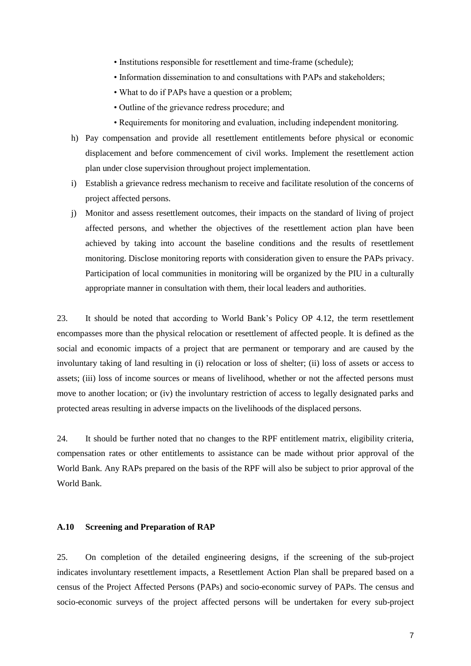- Institutions responsible for resettlement and time-frame (schedule);
- Information dissemination to and consultations with PAPs and stakeholders;
- What to do if PAPs have a question or a problem;
- Outline of the grievance redress procedure; and
- Requirements for monitoring and evaluation, including independent monitoring.
- h) Pay compensation and provide all resettlement entitlements before physical or economic displacement and before commencement of civil works. Implement the resettlement action plan under close supervision throughout project implementation.
- i) Establish a grievance redress mechanism to receive and facilitate resolution of the concerns of project affected persons.
- j) Monitor and assess resettlement outcomes, their impacts on the standard of living of project affected persons, and whether the objectives of the resettlement action plan have been achieved by taking into account the baseline conditions and the results of resettlement monitoring. Disclose monitoring reports with consideration given to ensure the PAPs privacy. Participation of local communities in monitoring will be organized by the PIU in a culturally appropriate manner in consultation with them, their local leaders and authorities.

23. It should be noted that according to World Bank's Policy OP 4.12, the term resettlement encompasses more than the physical relocation or resettlement of affected people. It is defined as the social and economic impacts of a project that are permanent or temporary and are caused by the involuntary taking of land resulting in (i) relocation or loss of shelter; (ii) loss of assets or access to assets; (iii) loss of income sources or means of livelihood, whether or not the affected persons must move to another location; or (iv) the involuntary restriction of access to legally designated parks and protected areas resulting in adverse impacts on the livelihoods of the displaced persons.

24. It should be further noted that no changes to the RPF entitlement matrix, eligibility criteria, compensation rates or other entitlements to assistance can be made without prior approval of the World Bank. Any RAPs prepared on the basis of the RPF will also be subject to prior approval of the World Bank.

## <span id="page-17-0"></span>**A.10 Screening and Preparation of RAP**

25. On completion of the detailed engineering designs, if the screening of the sub-project indicates involuntary resettlement impacts, a Resettlement Action Plan shall be prepared based on a census of the Project Affected Persons (PAPs) and socio-economic survey of PAPs. The census and socio-economic surveys of the project affected persons will be undertaken for every sub-project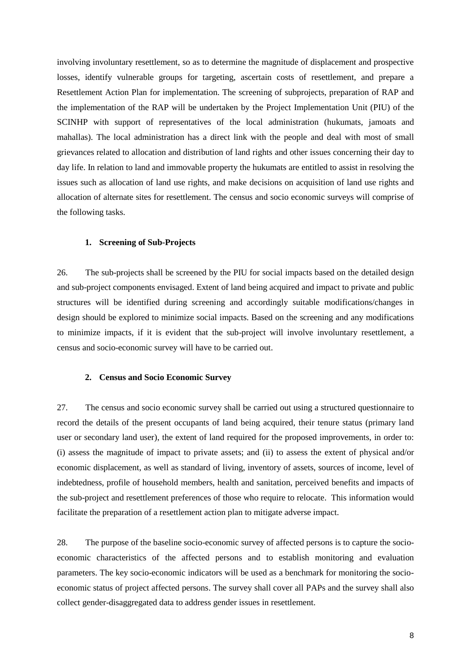involving involuntary resettlement, so as to determine the magnitude of displacement and prospective losses, identify vulnerable groups for targeting, ascertain costs of resettlement, and prepare a Resettlement Action Plan for implementation. The screening of subprojects, preparation of RAP and the implementation of the RAP will be undertaken by the Project Implementation Unit (PIU) of the SCINHP with support of representatives of the local administration (hukumats, jamoats and mahallas). The local administration has a direct link with the people and deal with most of small grievances related to allocation and distribution of land rights and other issues concerning their day to day life. In relation to land and immovable property the hukumats are entitled to assist in resolving the issues such as allocation of land use rights, and make decisions on acquisition of land use rights and allocation of alternate sites for resettlement. The census and socio economic surveys will comprise of the following tasks.

#### <span id="page-18-0"></span>**1. Screening of Sub-Projects**

26. The sub-projects shall be screened by the PIU for social impacts based on the detailed design and sub-project components envisaged. Extent of land being acquired and impact to private and public structures will be identified during screening and accordingly suitable modifications/changes in design should be explored to minimize social impacts. Based on the screening and any modifications to minimize impacts, if it is evident that the sub-project will involve involuntary resettlement, a census and socio-economic survey will have to be carried out.

#### <span id="page-18-1"></span>**2. Census and Socio Economic Survey**

27. The census and socio economic survey shall be carried out using a structured questionnaire to record the details of the present occupants of land being acquired, their tenure status (primary land user or secondary land user), the extent of land required for the proposed improvements, in order to: (i) assess the magnitude of impact to private assets; and (ii) to assess the extent of physical and/or economic displacement, as well as standard of living, inventory of assets, sources of income, level of indebtedness, profile of household members, health and sanitation, perceived benefits and impacts of the sub-project and resettlement preferences of those who require to relocate. This information would facilitate the preparation of a resettlement action plan to mitigate adverse impact.

28. The purpose of the baseline socio-economic survey of affected persons is to capture the socioeconomic characteristics of the affected persons and to establish monitoring and evaluation parameters. The key socio-economic indicators will be used as a benchmark for monitoring the socioeconomic status of project affected persons. The survey shall cover all PAPs and the survey shall also collect gender-disaggregated data to address gender issues in resettlement.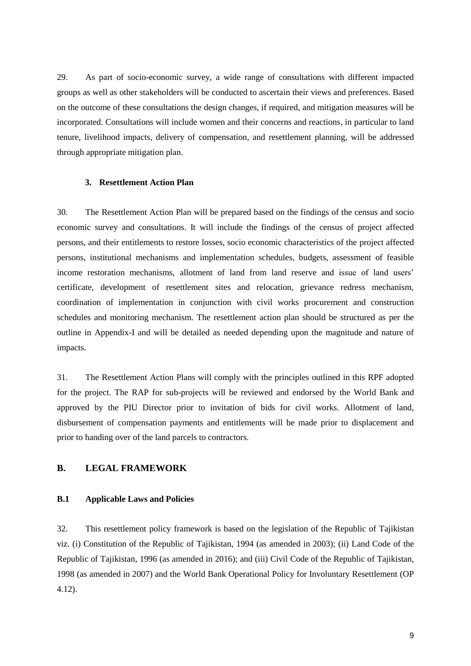29. As part of socio-economic survey, a wide range of consultations with different impacted groups as well as other stakeholders will be conducted to ascertain their views and preferences. Based on the outcome of these consultations the design changes, if required, and mitigation measures will be incorporated. Consultations will include women and their concerns and reactions, in particular to land tenure, livelihood impacts, delivery of compensation, and resettlement planning, will be addressed through appropriate mitigation plan.

#### <span id="page-19-0"></span>**3. Resettlement Action Plan**

30. The Resettlement Action Plan will be prepared based on the findings of the census and socio economic survey and consultations. It will include the findings of the census of project affected persons, and their entitlements to restore losses, socio economic characteristics of the project affected persons, institutional mechanisms and implementation schedules, budgets, assessment of feasible income restoration mechanisms, allotment of land from land reserve and issue of land users' certificate, development of resettlement sites and relocation, grievance redress mechanism, coordination of implementation in conjunction with civil works procurement and construction schedules and monitoring mechanism. The resettlement action plan should be structured as per the outline in Appendix-I and will be detailed as needed depending upon the magnitude and nature of impacts.

31. The Resettlement Action Plans will comply with the principles outlined in this RPF adopted for the project. The RAP for sub-projects will be reviewed and endorsed by the World Bank and approved by the PIU Director prior to invitation of bids for civil works. Allotment of land, disbursement of compensation payments and entitlements will be made prior to displacement and prior to handing over of the land parcels to contractors.

# <span id="page-19-1"></span>**B. LEGAL FRAMEWORK**

#### <span id="page-19-2"></span>**B.1 Applicable Laws and Policies**

32. This resettlement policy framework is based on the legislation of the Republic of Tajikistan viz. (i) Constitution of the Republic of Tajikistan, 1994 (as amended in 2003); (ii) Land Code of the Republic of Tajikistan, 1996 (as amended in 2016); and (iii) Civil Code of the Republic of Tajikistan, 1998 (as amended in 2007) and the World Bank Operational Policy for Involuntary Resettlement (OP 4.12).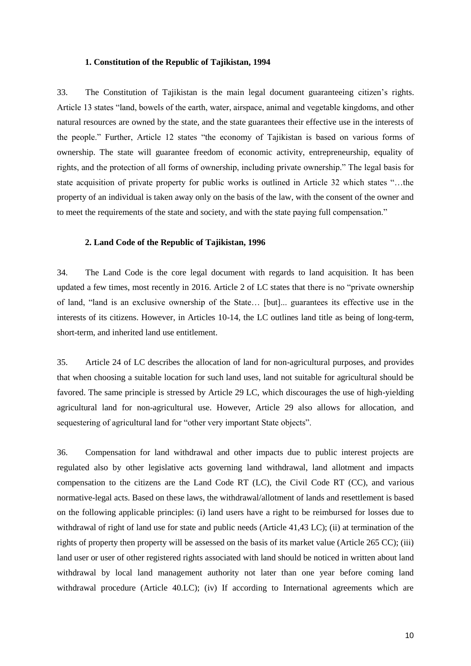#### **1. Constitution of the Republic of Tajikistan, 1994**

<span id="page-20-0"></span>33. The Constitution of Tajikistan is the main legal document guaranteeing citizen's rights. Article 13 states "land, bowels of the earth, water, airspace, animal and vegetable kingdoms, and other natural resources are owned by the state, and the state guarantees their effective use in the interests of the people." Further, Article 12 states "the economy of Tajikistan is based on various forms of ownership. The state will guarantee freedom of economic activity, entrepreneurship, equality of rights, and the protection of all forms of ownership, including private ownership." The legal basis for state acquisition of private property for public works is outlined in Article 32 which states "…the property of an individual is taken away only on the basis of the law, with the consent of the owner and to meet the requirements of the state and society, and with the state paying full compensation."

#### <span id="page-20-1"></span>**2. Land Code of the Republic of Tajikistan, 1996**

34. The Land Code is the core legal document with regards to land acquisition. It has been updated a few times, most recently in 2016. Article 2 of LC states that there is no "private ownership of land, "land is an exclusive ownership of the State… [but]... guarantees its effective use in the interests of its citizens. However, in Articles 10-14, the LC outlines land title as being of long-term, short-term, and inherited land use entitlement.

35. Article 24 of LC describes the allocation of land for non-agricultural purposes, and provides that when choosing a suitable location for such land uses, land not suitable for agricultural should be favored. The same principle is stressed by Article 29 LC, which discourages the use of high-yielding agricultural land for non-agricultural use. However, Article 29 also allows for allocation, and sequestering of agricultural land for "other very important State objects".

36. Compensation for land withdrawal and other impacts due to public interest projects are regulated also by other legislative acts governing land withdrawal, land allotment and impacts compensation to the citizens are the Land Code RT (LC), the Civil Code RT (CC), and various normative-legal acts. Based on these laws, the withdrawal/allotment of lands and resettlement is based on the following applicable principles: (i) land users have a right to be reimbursed for losses due to withdrawal of right of land use for state and public needs (Article 41,43 LC); (ii) at termination of the rights of property then property will be assessed on the basis of its market value (Article 265 CC); (iii) land user or user of other registered rights associated with land should be noticed in written about land withdrawal by local land management authority not later than one year before coming land withdrawal procedure (Article 40.LC); (iv) If according to International agreements which are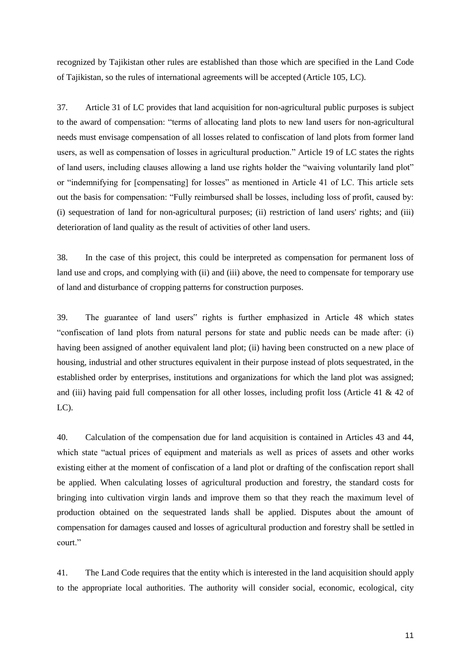recognized by Tajikistan other rules are established than those which are specified in the Land Code of Tajikistan, so the rules of international agreements will be accepted (Article 105, LC).

37. Article 31 of LC provides that land acquisition for non-agricultural public purposes is subject to the award of compensation: "terms of allocating land plots to new land users for non-agricultural needs must envisage compensation of all losses related to confiscation of land plots from former land users, as well as compensation of losses in agricultural production." Article 19 of LC states the rights of land users, including clauses allowing a land use rights holder the "waiving voluntarily land plot" or "indemnifying for [compensating] for losses" as mentioned in Article 41 of LC. This article sets out the basis for compensation: "Fully reimbursed shall be losses, including loss of profit, caused by: (i) sequestration of land for non-agricultural purposes; (ii) restriction of land users' rights; and (iii) deterioration of land quality as the result of activities of other land users.

38. In the case of this project, this could be interpreted as compensation for permanent loss of land use and crops, and complying with (ii) and (iii) above, the need to compensate for temporary use of land and disturbance of cropping patterns for construction purposes.

39. The guarantee of land users" rights is further emphasized in Article 48 which states "confiscation of land plots from natural persons for state and public needs can be made after: (i) having been assigned of another equivalent land plot; (ii) having been constructed on a new place of housing, industrial and other structures equivalent in their purpose instead of plots sequestrated, in the established order by enterprises, institutions and organizations for which the land plot was assigned; and (iii) having paid full compensation for all other losses, including profit loss (Article 41 & 42 of  $LC$ ).

40. Calculation of the compensation due for land acquisition is contained in Articles 43 and 44, which state "actual prices of equipment and materials as well as prices of assets and other works existing either at the moment of confiscation of a land plot or drafting of the confiscation report shall be applied. When calculating losses of agricultural production and forestry, the standard costs for bringing into cultivation virgin lands and improve them so that they reach the maximum level of production obtained on the sequestrated lands shall be applied. Disputes about the amount of compensation for damages caused and losses of agricultural production and forestry shall be settled in court."

41. The Land Code requires that the entity which is interested in the land acquisition should apply to the appropriate local authorities. The authority will consider social, economic, ecological, city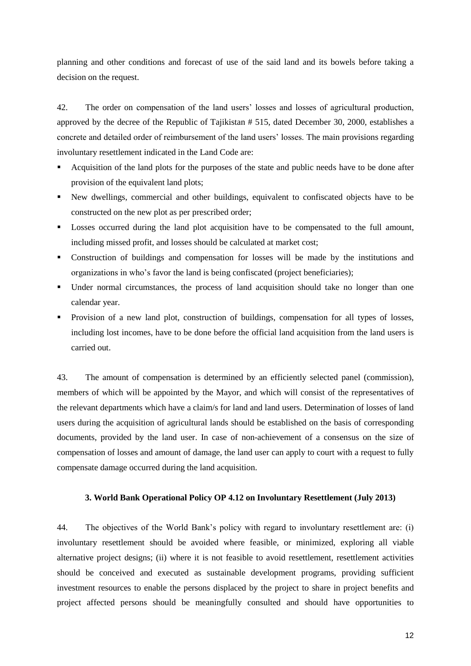planning and other conditions and forecast of use of the said land and its bowels before taking a decision on the request.

42. The order on compensation of the land users' losses and losses of agricultural production, approved by the decree of the Republic of Tajikistan # 515, dated December 30, 2000, establishes a concrete and detailed order of reimbursement of the land users' losses. The main provisions regarding involuntary resettlement indicated in the Land Code are:

- Acquisition of the land plots for the purposes of the state and public needs have to be done after provision of the equivalent land plots;
- New dwellings, commercial and other buildings, equivalent to confiscated objects have to be constructed on the new plot as per prescribed order;
- Losses occurred during the land plot acquisition have to be compensated to the full amount, including missed profit, and losses should be calculated at market cost;
- Construction of buildings and compensation for losses will be made by the institutions and organizations in who's favor the land is being confiscated (project beneficiaries);
- Under normal circumstances, the process of land acquisition should take no longer than one calendar year.
- Provision of a new land plot, construction of buildings, compensation for all types of losses, including lost incomes, have to be done before the official land acquisition from the land users is carried out.

43. The amount of compensation is determined by an efficiently selected panel (commission), members of which will be appointed by the Mayor, and which will consist of the representatives of the relevant departments which have a claim/s for land and land users. Determination of losses of land users during the acquisition of agricultural lands should be established on the basis of corresponding documents, provided by the land user. In case of non-achievement of a consensus on the size of compensation of losses and amount of damage, the land user can apply to court with a request to fully compensate damage occurred during the land acquisition.

#### <span id="page-22-0"></span>**3. World Bank Operational Policy OP 4.12 on Involuntary Resettlement (July 2013)**

44. The objectives of the World Bank's policy with regard to involuntary resettlement are: (i) involuntary resettlement should be avoided where feasible, or minimized, exploring all viable alternative project designs; (ii) where it is not feasible to avoid resettlement, resettlement activities should be conceived and executed as sustainable development programs, providing sufficient investment resources to enable the persons displaced by the project to share in project benefits and project affected persons should be meaningfully consulted and should have opportunities to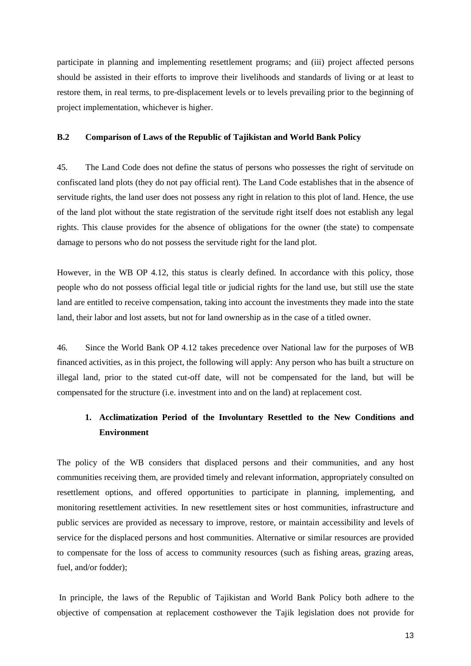participate in planning and implementing resettlement programs; and (iii) project affected persons should be assisted in their efforts to improve their livelihoods and standards of living or at least to restore them, in real terms, to pre-displacement levels or to levels prevailing prior to the beginning of project implementation, whichever is higher.

#### <span id="page-23-0"></span>**B.2 Comparison of Laws of the Republic of Tajikistan and World Bank Policy**

45. The Land Code does not define the status of persons who possesses the right of servitude on confiscated land plots (they do not pay official rent). The Land Code establishes that in the absence of servitude rights, the land user does not possess any right in relation to this plot of land. Hence, the use of the land plot without the state registration of the servitude right itself does not establish any legal rights. This clause provides for the absence of obligations for the owner (the state) to compensate damage to persons who do not possess the servitude right for the land plot.

However, in the WB OP 4.12, this status is clearly defined. In accordance with this policy, those people who do not possess official legal title or judicial rights for the land use, but still use the state land are entitled to receive compensation, taking into account the investments they made into the state land, their labor and lost assets, but not for land ownership as in the case of a titled owner.

46. Since the World Bank OP 4.12 takes precedence over National law for the purposes of WB financed activities, as in this project, the following will apply: Any person who has built a structure on illegal land, prior to the stated cut-off date, will not be compensated for the land, but will be compensated for the structure (i.e. investment into and on the land) at replacement cost.

# <span id="page-23-1"></span>**1. Acclimatization Period of the Involuntary Resettled to the New Conditions and Environment**

The policy of the WB considers that displaced persons and their communities, and any host communities receiving them, are provided timely and relevant information, appropriately consulted on resettlement options, and offered opportunities to participate in planning, implementing, and monitoring resettlement activities. In new resettlement sites or host communities, infrastructure and public services are provided as necessary to improve, restore, or maintain accessibility and levels of service for the displaced persons and host communities. Alternative or similar resources are provided to compensate for the loss of access to community resources (such as fishing areas, grazing areas, fuel, and/or fodder);

In principle, the laws of the Republic of Tajikistan and World Bank Policy both adhere to the objective of compensation at replacement costhowever the Tajik legislation does not provide for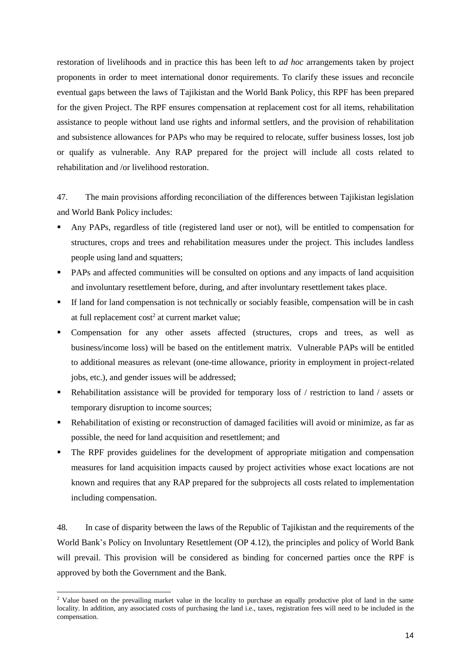restoration of livelihoods and in practice this has been left to *ad hoc* arrangements taken by project proponents in order to meet international donor requirements. To clarify these issues and reconcile eventual gaps between the laws of Tajikistan and the World Bank Policy, this RPF has been prepared for the given Project. The RPF ensures compensation at replacement cost for all items, rehabilitation assistance to people without land use rights and informal settlers, and the provision of rehabilitation and subsistence allowances for PAPs who may be required to relocate, suffer business losses, lost job or qualify as vulnerable. Any RAP prepared for the project will include all costs related to rehabilitation and /or livelihood restoration.

47. The main provisions affording reconciliation of the differences between Tajikistan legislation and World Bank Policy includes:

- Any PAPs, regardless of title (registered land user or not), will be entitled to compensation for structures, crops and trees and rehabilitation measures under the project. This includes landless people using land and squatters;
- PAPs and affected communities will be consulted on options and any impacts of land acquisition and involuntary resettlement before, during, and after involuntary resettlement takes place.
- If land for land compensation is not technically or sociably feasible, compensation will be in cash at full replacement cost<sup>2</sup> at current market value;
- Compensation for any other assets affected (structures, crops and trees, as well as business/income loss) will be based on the entitlement matrix. Vulnerable PAPs will be entitled to additional measures as relevant (one-time allowance, priority in employment in project-related jobs, etc.), and gender issues will be addressed;
- **•** Rehabilitation assistance will be provided for temporary loss of / restriction to land / assets or temporary disruption to income sources;
- Rehabilitation of existing or reconstruction of damaged facilities will avoid or minimize, as far as possible, the need for land acquisition and resettlement; and
- The RPF provides guidelines for the development of appropriate mitigation and compensation measures for land acquisition impacts caused by project activities whose exact locations are not known and requires that any RAP prepared for the subprojects all costs related to implementation including compensation.

48. In case of disparity between the laws of the Republic of Tajikistan and the requirements of the World Bank's Policy on Involuntary Resettlement (OP 4.12), the principles and policy of World Bank will prevail. This provision will be considered as binding for concerned parties once the RPF is approved by both the Government and the Bank.

-

<sup>&</sup>lt;sup>2</sup> Value based on the prevailing market value in the locality to purchase an equally productive plot of land in the same locality. In addition, any associated costs of purchasing the land i.e., taxes, registration fees will need to be included in the compensation.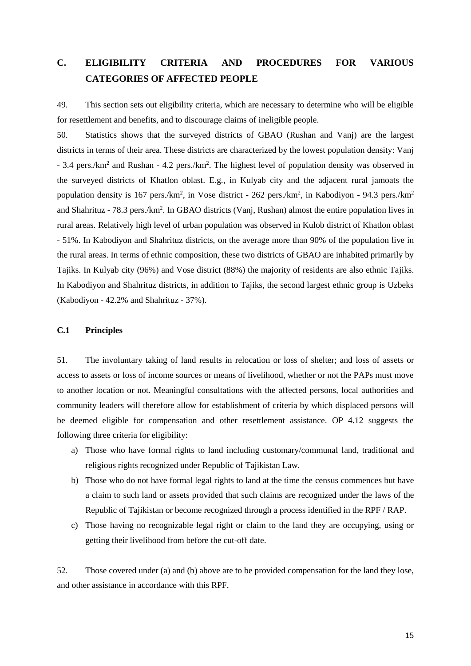# <span id="page-25-0"></span>**C. ELIGIBILITY CRITERIA AND PROCEDURES FOR VARIOUS CATEGORIES OF AFFECTED PEOPLE**

49. This section sets out eligibility criteria, which are necessary to determine who will be eligible for resettlement and benefits, and to discourage claims of ineligible people.

50. Statistics shows that the surveyed districts of GBAO (Rushan and Vanj) are the largest districts in terms of their area. These districts are characterized by the lowest population density: Vanj - 3.4 pers./km<sup>2</sup> and Rushan - 4.2 pers./km<sup>2</sup>. The highest level of population density was observed in the surveyed districts of Khatlon oblast. E.g., in Kulyab city and the adjacent rural jamoats the population density is 167 pers./km<sup>2</sup>, in Vose district - 262 pers./km<sup>2</sup>, in Kabodiyon - 94.3 pers./km<sup>2</sup> and Shahrituz - 78.3 pers./km<sup>2</sup>. In GBAO districts (Vanj, Rushan) almost the entire population lives in rural areas. Relatively high level of urban population was observed in Kulob district of Khatlon oblast - 51%. In Kabodiyon and Shahrituz districts, on the average more than 90% of the population live in the rural areas. In terms of ethnic composition, these two districts of GBAO are inhabited primarily by Tajiks. In Kulyab city (96%) and Vose district (88%) the majority of residents are also ethnic Tajiks. In Kabodiyon and Shahrituz districts, in addition to Tajiks, the second largest ethnic group is Uzbeks (Kabodiyon - 42.2% and Shahrituz - 37%).

#### <span id="page-25-1"></span>**C.1 Principles**

51. The involuntary taking of land results in relocation or loss of shelter; and loss of assets or access to assets or loss of income sources or means of livelihood, whether or not the PAPs must move to another location or not. Meaningful consultations with the affected persons, local authorities and community leaders will therefore allow for establishment of criteria by which displaced persons will be deemed eligible for compensation and other resettlement assistance. OP 4.12 suggests the following three criteria for eligibility:

- a) Those who have formal rights to land including customary/communal land, traditional and religious rights recognized under Republic of Tajikistan Law.
- b) Those who do not have formal legal rights to land at the time the census commences but have a claim to such land or assets provided that such claims are recognized under the laws of the Republic of Tajikistan or become recognized through a process identified in the RPF / RAP.
- c) Those having no recognizable legal right or claim to the land they are occupying, using or getting their livelihood from before the cut-off date.

52. Those covered under (a) and (b) above are to be provided compensation for the land they lose, and other assistance in accordance with this RPF.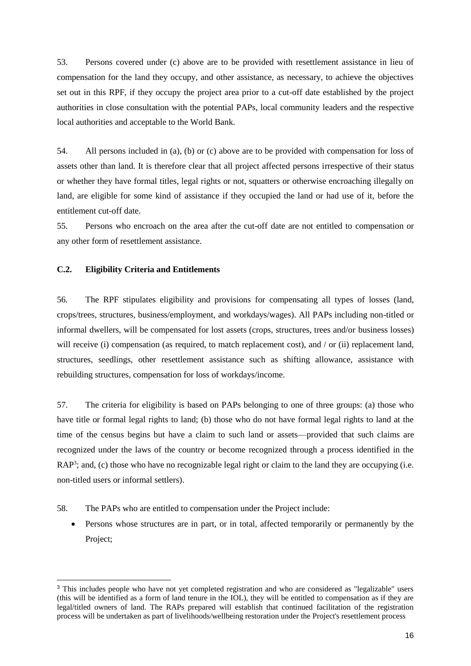53. Persons covered under (c) above are to be provided with resettlement assistance in lieu of compensation for the land they occupy, and other assistance, as necessary, to achieve the objectives set out in this RPF, if they occupy the project area prior to a cut-off date established by the project authorities in close consultation with the potential PAPs, local community leaders and the respective local authorities and acceptable to the World Bank.

54. All persons included in (a), (b) or (c) above are to be provided with compensation for loss of assets other than land. It is therefore clear that all project affected persons irrespective of their status or whether they have formal titles, legal rights or not, squatters or otherwise encroaching illegally on land, are eligible for some kind of assistance if they occupied the land or had use of it, before the entitlement cut-off date.

55. Persons who encroach on the area after the cut-off date are not entitled to compensation or any other form of resettlement assistance.

# <span id="page-26-0"></span>**C.2. Eligibility Criteria and Entitlements**

-

56. The RPF stipulates eligibility and provisions for compensating all types of losses (land, crops/trees, structures, business/employment, and workdays/wages). All PAPs including non-titled or informal dwellers, will be compensated for lost assets (crops, structures, trees and/or business losses) will receive (i) compensation (as required, to match replacement cost), and / or (ii) replacement land, structures, seedlings, other resettlement assistance such as shifting allowance, assistance with rebuilding structures, compensation for loss of workdays/income.

57. The criteria for eligibility is based on PAPs belonging to one of three groups: (a) those who have title or formal legal rights to land; (b) those who do not have formal legal rights to land at the time of the census begins but have a claim to such land or assets—provided that such claims are recognized under the laws of the country or become recognized through a process identified in the RAP<sup>3</sup>; and, (c) those who have no recognizable legal right or claim to the land they are occupying (i.e. non-titled users or informal settlers).

- 58. The PAPs who are entitled to compensation under the Project include:
	- Persons whose structures are in part, or in total, affected temporarily or permanently by the Project;

<sup>3</sup> This includes people who have not yet completed registration and who are considered as "legalizable" users (this will be identified as a form of land tenure in the IOL), they will be entitled to compensation as if they are legal/titled owners of land. The RAPs prepared will establish that continued facilitation of the registration process will be undertaken as part of livelihoods/wellbeing restoration under the Project's resettlement process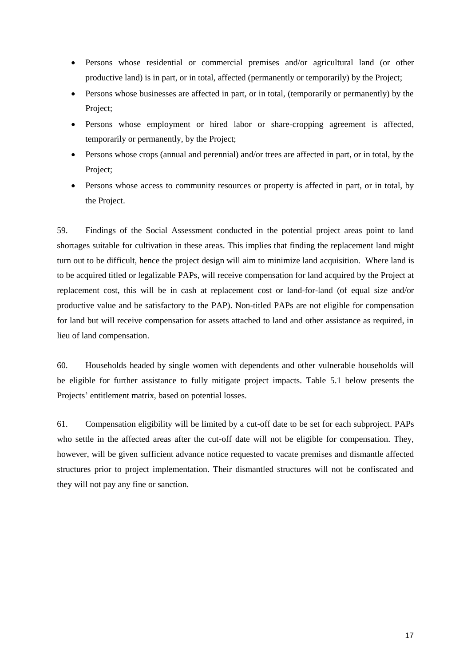- Persons whose residential or commercial premises and/or agricultural land (or other productive land) is in part, or in total, affected (permanently or temporarily) by the Project;
- Persons whose businesses are affected in part, or in total, (temporarily or permanently) by the Project;
- Persons whose employment or hired labor or share-cropping agreement is affected, temporarily or permanently, by the Project;
- Persons whose crops (annual and perennial) and/or trees are affected in part, or in total, by the Project;
- Persons whose access to community resources or property is affected in part, or in total, by the Project.

59. Findings of the Social Assessment conducted in the potential project areas point to land shortages suitable for cultivation in these areas. This implies that finding the replacement land might turn out to be difficult, hence the project design will aim to minimize land acquisition. Where land is to be acquired titled or legalizable PAPs, will receive compensation for land acquired by the Project at replacement cost, this will be in cash at replacement cost or land-for-land (of equal size and/or productive value and be satisfactory to the PAP). Non-titled PAPs are not eligible for compensation for land but will receive compensation for assets attached to land and other assistance as required, in lieu of land compensation.

60. Households headed by single women with dependents and other vulnerable households will be eligible for further assistance to fully mitigate project impacts. Table 5.1 below presents the Projects' entitlement matrix, based on potential losses.

61. Compensation eligibility will be limited by a cut-off date to be set for each subproject. PAPs who settle in the affected areas after the cut-off date will not be eligible for compensation. They, however, will be given sufficient advance notice requested to vacate premises and dismantle affected structures prior to project implementation. Their dismantled structures will not be confiscated and they will not pay any fine or sanction.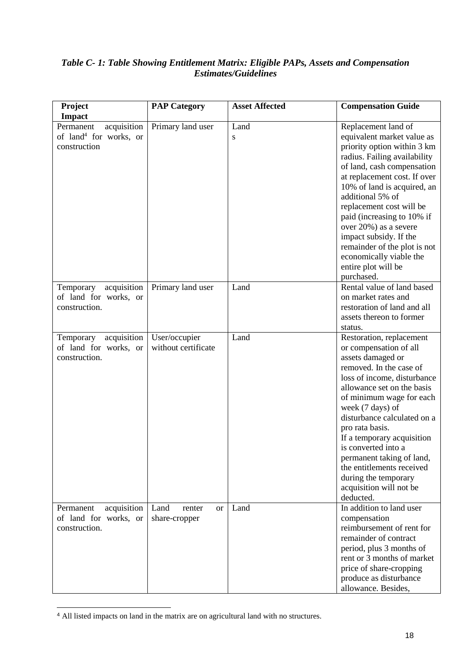# *Table C- 1: Table Showing Entitlement Matrix: Eligible PAPs, Assets and Compensation Estimates/Guidelines*

| Project                                                                        | <b>PAP Category</b>                          | <b>Asset Affected</b> | <b>Compensation Guide</b>                                                                                                                                                                                                                                                                                                                                                                                                                        |
|--------------------------------------------------------------------------------|----------------------------------------------|-----------------------|--------------------------------------------------------------------------------------------------------------------------------------------------------------------------------------------------------------------------------------------------------------------------------------------------------------------------------------------------------------------------------------------------------------------------------------------------|
| <b>Impact</b>                                                                  |                                              |                       |                                                                                                                                                                                                                                                                                                                                                                                                                                                  |
| acquisition<br>Permanent<br>of land <sup>4</sup> for works, or<br>construction | Primary land user                            | Land<br>S             | Replacement land of<br>equivalent market value as<br>priority option within 3 km<br>radius. Failing availability<br>of land, cash compensation<br>at replacement cost. If over<br>10% of land is acquired, an<br>additional 5% of<br>replacement cost will be<br>paid (increasing to 10% if<br>over 20%) as a severe<br>impact subsidy. If the<br>remainder of the plot is not<br>economically viable the<br>entire plot will be<br>purchased.   |
| Temporary acquisition<br>of land for works, or<br>construction.                | Primary land user                            | Land                  | Rental value of land based<br>on market rates and<br>restoration of land and all<br>assets thereon to former<br>status.                                                                                                                                                                                                                                                                                                                          |
| acquisition<br>Temporary<br>of land for works, or<br>construction.             | User/occupier<br>without certificate         | Land                  | Restoration, replacement<br>or compensation of all<br>assets damaged or<br>removed. In the case of<br>loss of income, disturbance<br>allowance set on the basis<br>of minimum wage for each<br>week (7 days) of<br>disturbance calculated on a<br>pro rata basis.<br>If a temporary acquisition<br>is converted into a<br>permanent taking of land,<br>the entitlements received<br>during the temporary<br>acquisition will not be<br>deducted. |
| acquisition<br>Permanent<br>of land for works, or<br>construction.             | Land<br>renter<br><b>or</b><br>share-cropper | Land                  | In addition to land user<br>compensation<br>reimbursement of rent for<br>remainder of contract<br>period, plus 3 months of<br>rent or 3 months of market<br>price of share-cropping<br>produce as disturbance<br>allowance. Besides,                                                                                                                                                                                                             |

<sup>-</sup><sup>4</sup> All listed impacts on land in the matrix are on agricultural land with no structures.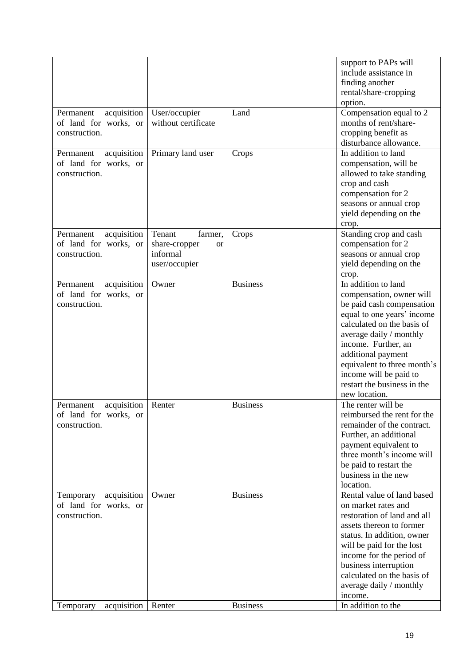|                          |                       |                 | support to PAPs will        |
|--------------------------|-----------------------|-----------------|-----------------------------|
|                          |                       |                 | include assistance in       |
|                          |                       |                 | finding another             |
|                          |                       |                 | rental/share-cropping       |
|                          |                       |                 | option.                     |
|                          |                       | Land            |                             |
| acquisition<br>Permanent | User/occupier         |                 | Compensation equal to 2     |
| of land for works, or    | without certificate   |                 | months of rent/share-       |
| construction.            |                       |                 | cropping benefit as         |
|                          |                       |                 | disturbance allowance.      |
| acquisition<br>Permanent | Primary land user     | Crops           | In addition to land         |
| of land for works, or    |                       |                 | compensation, will be       |
| construction.            |                       |                 | allowed to take standing    |
|                          |                       |                 | crop and cash               |
|                          |                       |                 | compensation for 2          |
|                          |                       |                 | seasons or annual crop      |
|                          |                       |                 | yield depending on the      |
|                          |                       |                 | crop.                       |
| acquisition<br>Permanent | Tenant<br>farmer,     | Crops           | Standing crop and cash      |
| of land for works, or    | share-cropper         |                 | compensation for 2          |
| construction.            | <b>or</b><br>informal |                 |                             |
|                          |                       |                 | seasons or annual crop      |
|                          | user/occupier         |                 | yield depending on the      |
|                          |                       |                 | crop.                       |
| acquisition<br>Permanent | Owner                 | <b>Business</b> | In addition to land         |
| of land for works, or    |                       |                 | compensation, owner will    |
| construction.            |                       |                 | be paid cash compensation   |
|                          |                       |                 | equal to one years' income  |
|                          |                       |                 | calculated on the basis of  |
|                          |                       |                 | average daily / monthly     |
|                          |                       |                 | income. Further, an         |
|                          |                       |                 | additional payment          |
|                          |                       |                 | equivalent to three month's |
|                          |                       |                 | income will be paid to      |
|                          |                       |                 | restart the business in the |
|                          |                       |                 |                             |
|                          |                       |                 | new location.               |
| acquisition<br>Permanent | Renter                | <b>Business</b> | The renter will be          |
| of land for works, or    |                       |                 | reimbursed the rent for the |
| construction.            |                       |                 | remainder of the contract.  |
|                          |                       |                 | Further, an additional      |
|                          |                       |                 | payment equivalent to       |
|                          |                       |                 | three month's income will   |
|                          |                       |                 | be paid to restart the      |
|                          |                       |                 | business in the new         |
|                          |                       |                 | location.                   |
| acquisition<br>Temporary | Owner                 | <b>Business</b> | Rental value of land based  |
| of land for works, or    |                       |                 | on market rates and         |
| construction.            |                       |                 | restoration of land and all |
|                          |                       |                 | assets thereon to former    |
|                          |                       |                 |                             |
|                          |                       |                 | status. In addition, owner  |
|                          |                       |                 | will be paid for the lost   |
|                          |                       |                 | income for the period of    |
|                          |                       |                 | business interruption       |
|                          |                       |                 | calculated on the basis of  |
|                          |                       |                 | average daily / monthly     |
|                          |                       |                 | income.                     |
| acquisition<br>Temporary | Renter                | <b>Business</b> | In addition to the          |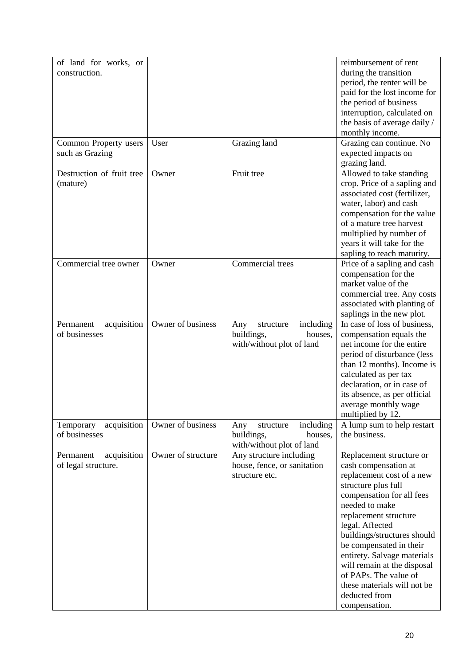| of land for works, or<br>construction.          |                    |                                                                                     | reimbursement of rent<br>during the transition<br>period, the renter will be<br>paid for the lost income for<br>the period of business<br>interruption, calculated on<br>the basis of average daily /<br>monthly income.                                                                                                                                                                                          |
|-------------------------------------------------|--------------------|-------------------------------------------------------------------------------------|-------------------------------------------------------------------------------------------------------------------------------------------------------------------------------------------------------------------------------------------------------------------------------------------------------------------------------------------------------------------------------------------------------------------|
| Common Property users<br>such as Grazing        | User               | Grazing land                                                                        | Grazing can continue. No<br>expected impacts on<br>grazing land.                                                                                                                                                                                                                                                                                                                                                  |
| Destruction of fruit tree<br>(mature)           | Owner              | Fruit tree                                                                          | Allowed to take standing<br>crop. Price of a sapling and<br>associated cost (fertilizer,<br>water, labor) and cash<br>compensation for the value<br>of a mature tree harvest<br>multiplied by number of<br>years it will take for the<br>sapling to reach maturity.                                                                                                                                               |
| Commercial tree owner                           | Owner              | Commercial trees                                                                    | Price of a sapling and cash<br>compensation for the<br>market value of the<br>commercial tree. Any costs<br>associated with planting of<br>saplings in the new plot.                                                                                                                                                                                                                                              |
| Permanent<br>acquisition<br>of businesses       | Owner of business  | including<br>Any<br>structure<br>buildings,<br>houses,<br>with/without plot of land | In case of loss of business,<br>compensation equals the<br>net income for the entire<br>period of disturbance (less<br>than 12 months). Income is<br>calculated as per tax<br>declaration, or in case of<br>its absence, as per official<br>average monthly wage<br>multiplied by 12.                                                                                                                             |
| acquisition<br>Temporary<br>of businesses       | Owner of business  | including<br>Any<br>structure<br>buildings,<br>houses,<br>with/without plot of land | A lump sum to help restart<br>the business.                                                                                                                                                                                                                                                                                                                                                                       |
| acquisition<br>Permanent<br>of legal structure. | Owner of structure | Any structure including<br>house, fence, or sanitation<br>structure etc.            | Replacement structure or<br>cash compensation at<br>replacement cost of a new<br>structure plus full<br>compensation for all fees<br>needed to make<br>replacement structure<br>legal. Affected<br>buildings/structures should<br>be compensated in their<br>entirety. Salvage materials<br>will remain at the disposal<br>of PAPs. The value of<br>these materials will not be<br>deducted from<br>compensation. |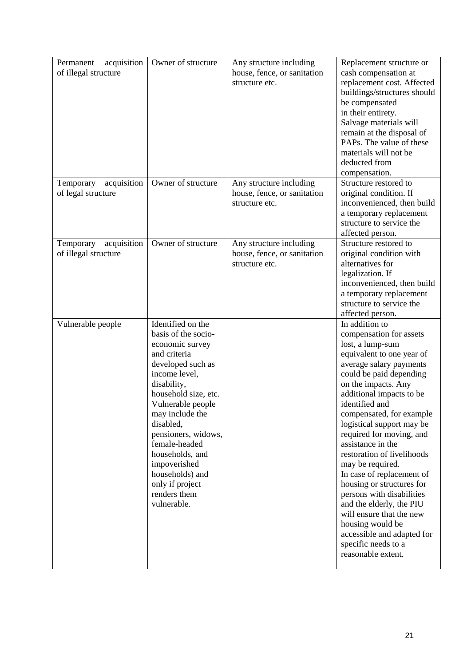| acquisition<br>Permanent<br>of illegal structure | Owner of structure                                                                                                                                                                                                                                                                                                                                            | Any structure including<br>house, fence, or sanitation<br>structure etc. | Replacement structure or<br>cash compensation at<br>replacement cost. Affected<br>buildings/structures should<br>be compensated<br>in their entirety.<br>Salvage materials will<br>remain at the disposal of<br>PAPs. The value of these<br>materials will not be<br>deducted from                                                                                                                                                                                                                                                                                                                                              |
|--------------------------------------------------|---------------------------------------------------------------------------------------------------------------------------------------------------------------------------------------------------------------------------------------------------------------------------------------------------------------------------------------------------------------|--------------------------------------------------------------------------|---------------------------------------------------------------------------------------------------------------------------------------------------------------------------------------------------------------------------------------------------------------------------------------------------------------------------------------------------------------------------------------------------------------------------------------------------------------------------------------------------------------------------------------------------------------------------------------------------------------------------------|
| Temporary<br>acquisition<br>of legal structure   | Owner of structure                                                                                                                                                                                                                                                                                                                                            | Any structure including<br>house, fence, or sanitation<br>structure etc. | compensation.<br>Structure restored to<br>original condition. If<br>inconvenienced, then build<br>a temporary replacement<br>structure to service the<br>affected person.                                                                                                                                                                                                                                                                                                                                                                                                                                                       |
| acquisition<br>Temporary<br>of illegal structure | Owner of structure                                                                                                                                                                                                                                                                                                                                            | Any structure including<br>house, fence, or sanitation<br>structure etc. | Structure restored to<br>original condition with<br>alternatives for<br>legalization. If<br>inconvenienced, then build<br>a temporary replacement<br>structure to service the<br>affected person.                                                                                                                                                                                                                                                                                                                                                                                                                               |
| Vulnerable people                                | Identified on the<br>basis of the socio-<br>economic survey<br>and criteria<br>developed such as<br>income level,<br>disability,<br>household size, etc.<br>Vulnerable people<br>may include the<br>disabled,<br>pensioners, widows,<br>female-headed<br>households, and<br>impoverished<br>households) and<br>only if project<br>renders them<br>vulnerable. |                                                                          | In addition to<br>compensation for assets<br>lost, a lump-sum<br>equivalent to one year of<br>average salary payments<br>could be paid depending<br>on the impacts. Any<br>additional impacts to be<br>identified and<br>compensated, for example<br>logistical support may be<br>required for moving, and<br>assistance in the<br>restoration of livelihoods<br>may be required.<br>In case of replacement of<br>housing or structures for<br>persons with disabilities<br>and the elderly, the PIU<br>will ensure that the new<br>housing would be<br>accessible and adapted for<br>specific needs to a<br>reasonable extent. |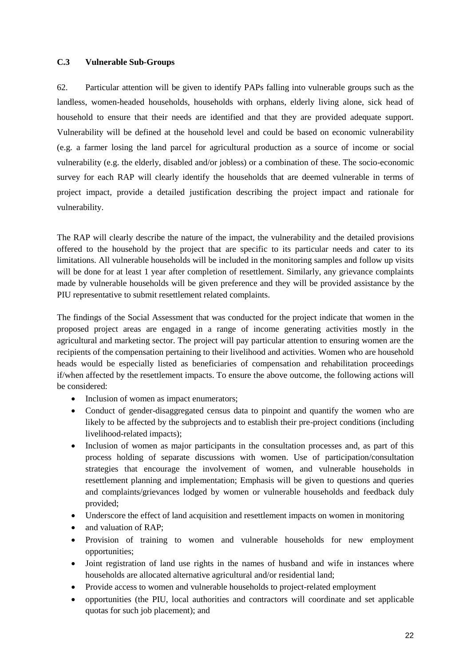# <span id="page-32-0"></span>**C.3 Vulnerable Sub-Groups**

62. Particular attention will be given to identify PAPs falling into vulnerable groups such as the landless, women-headed households, households with orphans, elderly living alone, sick head of household to ensure that their needs are identified and that they are provided adequate support. Vulnerability will be defined at the household level and could be based on economic vulnerability (e.g. a farmer losing the land parcel for agricultural production as a source of income or social vulnerability (e.g. the elderly, disabled and/or jobless) or a combination of these. The socio-economic survey for each RAP will clearly identify the households that are deemed vulnerable in terms of project impact, provide a detailed justification describing the project impact and rationale for vulnerability.

The RAP will clearly describe the nature of the impact, the vulnerability and the detailed provisions offered to the household by the project that are specific to its particular needs and cater to its limitations. All vulnerable households will be included in the monitoring samples and follow up visits will be done for at least 1 year after completion of resettlement. Similarly, any grievance complaints made by vulnerable households will be given preference and they will be provided assistance by the PIU representative to submit resettlement related complaints.

The findings of the Social Assessment that was conducted for the project indicate that women in the proposed project areas are engaged in a range of income generating activities mostly in the agricultural and marketing sector. The project will pay particular attention to ensuring women are the recipients of the compensation pertaining to their livelihood and activities. Women who are household heads would be especially listed as beneficiaries of compensation and rehabilitation proceedings if/when affected by the resettlement impacts. To ensure the above outcome, the following actions will be considered:

- Inclusion of women as impact enumerators;
- Conduct of gender-disaggregated census data to pinpoint and quantify the women who are likely to be affected by the subprojects and to establish their pre-project conditions (including livelihood-related impacts);
- Inclusion of women as major participants in the consultation processes and, as part of this process holding of separate discussions with women. Use of participation/consultation strategies that encourage the involvement of women, and vulnerable households in resettlement planning and implementation; Emphasis will be given to questions and queries and complaints/grievances lodged by women or vulnerable households and feedback duly provided;
- Underscore the effect of land acquisition and resettlement impacts on women in monitoring
- and valuation of RAP;
- Provision of training to women and vulnerable households for new employment opportunities;
- Joint registration of land use rights in the names of husband and wife in instances where households are allocated alternative agricultural and/or residential land;
- Provide access to women and vulnerable households to project-related employment
- opportunities (the PIU, local authorities and contractors will coordinate and set applicable quotas for such job placement); and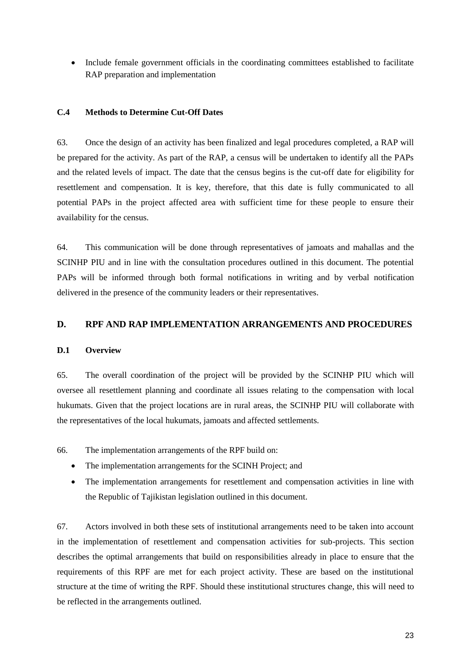• Include female government officials in the coordinating committees established to facilitate RAP preparation and implementation

#### <span id="page-33-0"></span>**C.4 Methods to Determine Cut-Off Dates**

63. Once the design of an activity has been finalized and legal procedures completed, a RAP will be prepared for the activity. As part of the RAP, a census will be undertaken to identify all the PAPs and the related levels of impact. The date that the census begins is the cut-off date for eligibility for resettlement and compensation. It is key, therefore, that this date is fully communicated to all potential PAPs in the project affected area with sufficient time for these people to ensure their availability for the census.

64. This communication will be done through representatives of jamoats and mahallas and the SCINHP PIU and in line with the consultation procedures outlined in this document. The potential PAPs will be informed through both formal notifications in writing and by verbal notification delivered in the presence of the community leaders or their representatives.

# <span id="page-33-1"></span>**D. RPF AND RAP IMPLEMENTATION ARRANGEMENTS AND PROCEDURES**

#### <span id="page-33-2"></span>**D.1 Overview**

65. The overall coordination of the project will be provided by the SCINHP PIU which will oversee all resettlement planning and coordinate all issues relating to the compensation with local hukumats. Given that the project locations are in rural areas, the SCINHP PIU will collaborate with the representatives of the local hukumats, jamoats and affected settlements.

66. The implementation arrangements of the RPF build on:

- The implementation arrangements for the SCINH Project; and
- The implementation arrangements for resettlement and compensation activities in line with the Republic of Tajikistan legislation outlined in this document.

67. Actors involved in both these sets of institutional arrangements need to be taken into account in the implementation of resettlement and compensation activities for sub-projects. This section describes the optimal arrangements that build on responsibilities already in place to ensure that the requirements of this RPF are met for each project activity. These are based on the institutional structure at the time of writing the RPF. Should these institutional structures change, this will need to be reflected in the arrangements outlined.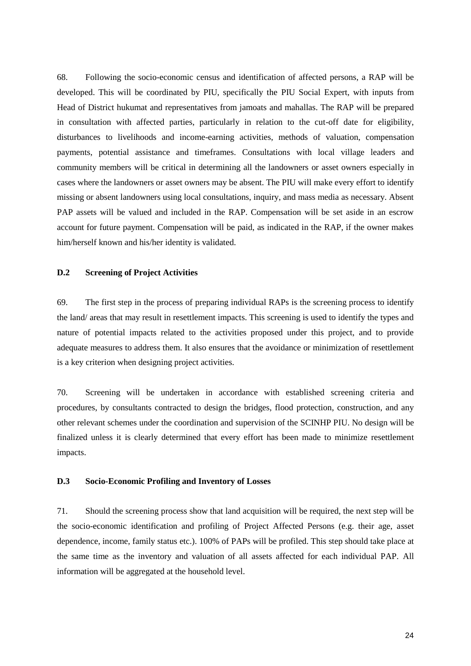68. Following the socio-economic census and identification of affected persons, a RAP will be developed. This will be coordinated by PIU, specifically the PIU Social Expert, with inputs from Head of District hukumat and representatives from jamoats and mahallas. The RAP will be prepared in consultation with affected parties, particularly in relation to the cut-off date for eligibility, disturbances to livelihoods and income-earning activities, methods of valuation, compensation payments, potential assistance and timeframes. Consultations with local village leaders and community members will be critical in determining all the landowners or asset owners especially in cases where the landowners or asset owners may be absent. The PIU will make every effort to identify missing or absent landowners using local consultations, inquiry, and mass media as necessary. Absent PAP assets will be valued and included in the RAP. Compensation will be set aside in an escrow account for future payment. Compensation will be paid, as indicated in the RAP, if the owner makes him/herself known and his/her identity is validated.

#### <span id="page-34-0"></span>**D.2 Screening of Project Activities**

69. The first step in the process of preparing individual RAPs is the screening process to identify the land/ areas that may result in resettlement impacts. This screening is used to identify the types and nature of potential impacts related to the activities proposed under this project, and to provide adequate measures to address them. It also ensures that the avoidance or minimization of resettlement is a key criterion when designing project activities.

70. Screening will be undertaken in accordance with established screening criteria and procedures, by consultants contracted to design the bridges, flood protection, construction, and any other relevant schemes under the coordination and supervision of the SCINHP PIU. No design will be finalized unless it is clearly determined that every effort has been made to minimize resettlement impacts.

#### <span id="page-34-1"></span>**D.3 Socio-Economic Profiling and Inventory of Losses**

71. Should the screening process show that land acquisition will be required, the next step will be the socio-economic identification and profiling of Project Affected Persons (e.g. their age, asset dependence, income, family status etc.). 100% of PAPs will be profiled. This step should take place at the same time as the inventory and valuation of all assets affected for each individual PAP. All information will be aggregated at the household level.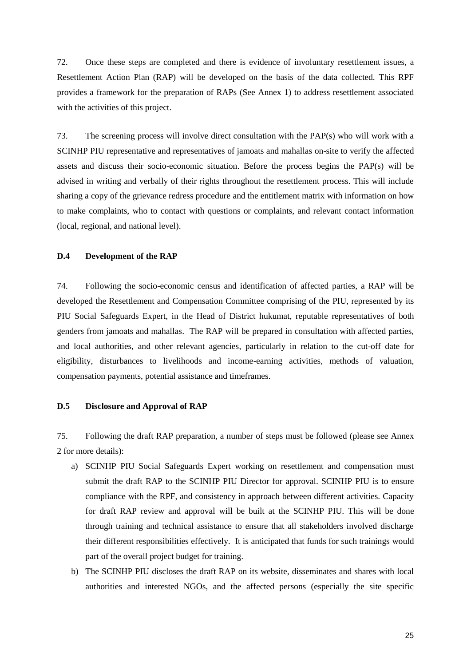72. Once these steps are completed and there is evidence of involuntary resettlement issues, a Resettlement Action Plan (RAP) will be developed on the basis of the data collected. This RPF provides a framework for the preparation of RAPs (See Annex 1) to address resettlement associated with the activities of this project.

73. The screening process will involve direct consultation with the PAP(s) who will work with a SCINHP PIU representative and representatives of jamoats and mahallas on-site to verify the affected assets and discuss their socio-economic situation. Before the process begins the PAP(s) will be advised in writing and verbally of their rights throughout the resettlement process. This will include sharing a copy of the grievance redress procedure and the entitlement matrix with information on how to make complaints, who to contact with questions or complaints, and relevant contact information (local, regional, and national level).

# <span id="page-35-0"></span>**D.4 Development of the RAP**

74. Following the socio-economic census and identification of affected parties, a RAP will be developed the Resettlement and Compensation Committee comprising of the PIU, represented by its PIU Social Safeguards Expert, in the Head of District hukumat, reputable representatives of both genders from jamoats and mahallas. The RAP will be prepared in consultation with affected parties, and local authorities, and other relevant agencies, particularly in relation to the cut-off date for eligibility, disturbances to livelihoods and income-earning activities, methods of valuation, compensation payments, potential assistance and timeframes.

#### <span id="page-35-1"></span>**D.5 Disclosure and Approval of RAP**

75. Following the draft RAP preparation, a number of steps must be followed (please see Annex 2 for more details):

- a) SCINHP PIU Social Safeguards Expert working on resettlement and compensation must submit the draft RAP to the SCINHP PIU Director for approval. SCINHP PIU is to ensure compliance with the RPF, and consistency in approach between different activities. Capacity for draft RAP review and approval will be built at the SCINHP PIU. This will be done through training and technical assistance to ensure that all stakeholders involved discharge their different responsibilities effectively. It is anticipated that funds for such trainings would part of the overall project budget for training.
- b) The SCINHP PIU discloses the draft RAP on its website, disseminates and shares with local authorities and interested NGOs, and the affected persons (especially the site specific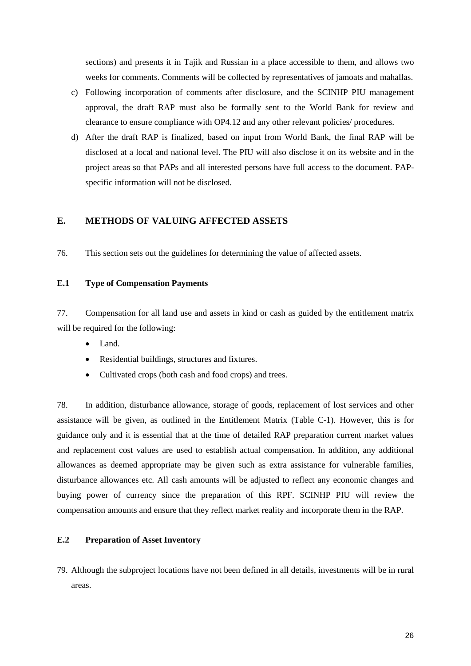sections) and presents it in Tajik and Russian in a place accessible to them, and allows two weeks for comments. Comments will be collected by representatives of jamoats and mahallas.

- c) Following incorporation of comments after disclosure, and the SCINHP PIU management approval, the draft RAP must also be formally sent to the World Bank for review and clearance to ensure compliance with OP4.12 and any other relevant policies/ procedures.
- d) After the draft RAP is finalized, based on input from World Bank, the final RAP will be disclosed at a local and national level. The PIU will also disclose it on its website and in the project areas so that PAPs and all interested persons have full access to the document. PAPspecific information will not be disclosed.

# <span id="page-36-0"></span>**E. METHODS OF VALUING AFFECTED ASSETS**

76. This section sets out the guidelines for determining the value of affected assets.

# <span id="page-36-1"></span>**E.1 Type of Compensation Payments**

77. Compensation for all land use and assets in kind or cash as guided by the entitlement matrix will be required for the following:

- Land.
- Residential buildings, structures and fixtures.
- Cultivated crops (both cash and food crops) and trees.

78. In addition, disturbance allowance, storage of goods, replacement of lost services and other assistance will be given, as outlined in the Entitlement Matrix (Table C-1). However, this is for guidance only and it is essential that at the time of detailed RAP preparation current market values and replacement cost values are used to establish actual compensation. In addition, any additional allowances as deemed appropriate may be given such as extra assistance for vulnerable families, disturbance allowances etc. All cash amounts will be adjusted to reflect any economic changes and buying power of currency since the preparation of this RPF. SCINHP PIU will review the compensation amounts and ensure that they reflect market reality and incorporate them in the RAP.

# <span id="page-36-2"></span>**E.2 Preparation of Asset Inventory**

79. Although the subproject locations have not been defined in all details, investments will be in rural areas.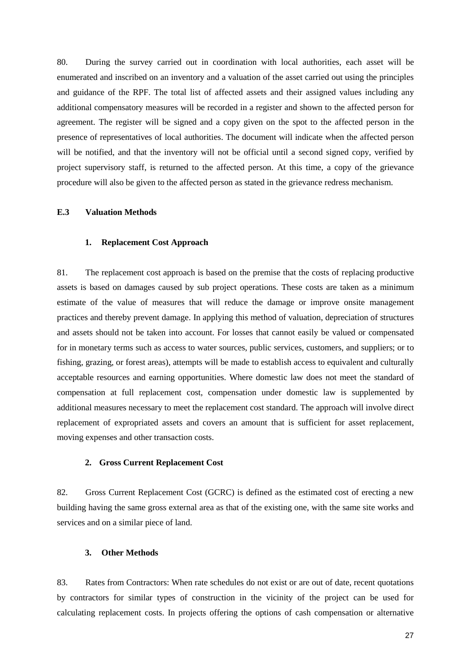80. During the survey carried out in coordination with local authorities, each asset will be enumerated and inscribed on an inventory and a valuation of the asset carried out using the principles and guidance of the RPF. The total list of affected assets and their assigned values including any additional compensatory measures will be recorded in a register and shown to the affected person for agreement. The register will be signed and a copy given on the spot to the affected person in the presence of representatives of local authorities. The document will indicate when the affected person will be notified, and that the inventory will not be official until a second signed copy, verified by project supervisory staff, is returned to the affected person. At this time, a copy of the grievance procedure will also be given to the affected person as stated in the grievance redress mechanism.

#### <span id="page-37-0"></span>**E.3 Valuation Methods**

#### <span id="page-37-1"></span>**1. Replacement Cost Approach**

81. The replacement cost approach is based on the premise that the costs of replacing productive assets is based on damages caused by sub project operations. These costs are taken as a minimum estimate of the value of measures that will reduce the damage or improve onsite management practices and thereby prevent damage. In applying this method of valuation, depreciation of structures and assets should not be taken into account. For losses that cannot easily be valued or compensated for in monetary terms such as access to water sources, public services, customers, and suppliers; or to fishing, grazing, or forest areas), attempts will be made to establish access to equivalent and culturally acceptable resources and earning opportunities. Where domestic law does not meet the standard of compensation at full replacement cost, compensation under domestic law is supplemented by additional measures necessary to meet the replacement cost standard. The approach will involve direct replacement of expropriated assets and covers an amount that is sufficient for asset replacement, moving expenses and other transaction costs.

## <span id="page-37-2"></span>**2. Gross Current Replacement Cost**

82. Gross Current Replacement Cost (GCRC) is defined as the estimated cost of erecting a new building having the same gross external area as that of the existing one, with the same site works and services and on a similar piece of land.

# <span id="page-37-3"></span>**3. Other Methods**

83. Rates from Contractors: When rate schedules do not exist or are out of date, recent quotations by contractors for similar types of construction in the vicinity of the project can be used for calculating replacement costs. In projects offering the options of cash compensation or alternative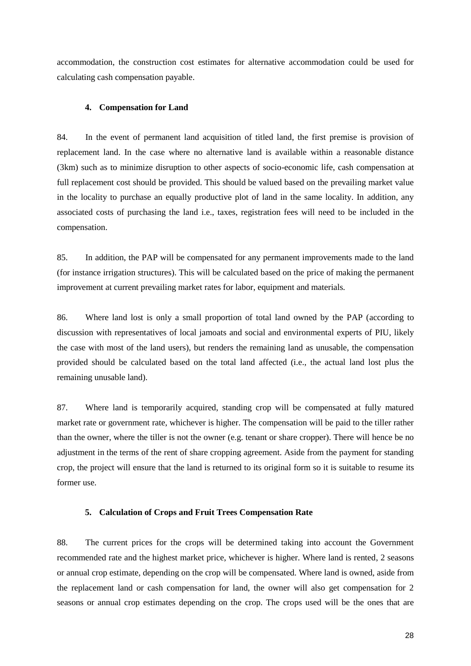accommodation, the construction cost estimates for alternative accommodation could be used for calculating cash compensation payable.

#### **4. Compensation for Land**

84. In the event of permanent land acquisition of titled land, the first premise is provision of replacement land. In the case where no alternative land is available within a reasonable distance (3km) such as to minimize disruption to other aspects of socio-economic life, cash compensation at full replacement cost should be provided. This should be valued based on the prevailing market value in the locality to purchase an equally productive plot of land in the same locality. In addition, any associated costs of purchasing the land i.e., taxes, registration fees will need to be included in the compensation.

85. In addition, the PAP will be compensated for any permanent improvements made to the land (for instance irrigation structures). This will be calculated based on the price of making the permanent improvement at current prevailing market rates for labor, equipment and materials.

86. Where land lost is only a small proportion of total land owned by the PAP (according to discussion with representatives of local jamoats and social and environmental experts of PIU, likely the case with most of the land users), but renders the remaining land as unusable, the compensation provided should be calculated based on the total land affected (i.e., the actual land lost plus the remaining unusable land).

87. Where land is temporarily acquired, standing crop will be compensated at fully matured market rate or government rate, whichever is higher. The compensation will be paid to the tiller rather than the owner, where the tiller is not the owner (e.g. tenant or share cropper). There will hence be no adjustment in the terms of the rent of share cropping agreement. Aside from the payment for standing crop, the project will ensure that the land is returned to its original form so it is suitable to resume its former use.

#### **5. Calculation of Crops and Fruit Trees Compensation Rate**

88. The current prices for the crops will be determined taking into account the Government recommended rate and the highest market price, whichever is higher. Where land is rented, 2 seasons or annual crop estimate, depending on the crop will be compensated. Where land is owned, aside from the replacement land or cash compensation for land, the owner will also get compensation for 2 seasons or annual crop estimates depending on the crop. The crops used will be the ones that are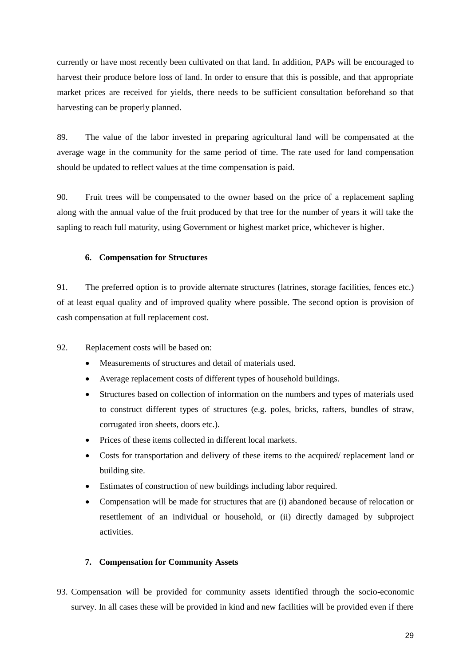currently or have most recently been cultivated on that land. In addition, PAPs will be encouraged to harvest their produce before loss of land. In order to ensure that this is possible, and that appropriate market prices are received for yields, there needs to be sufficient consultation beforehand so that harvesting can be properly planned.

89. The value of the labor invested in preparing agricultural land will be compensated at the average wage in the community for the same period of time. The rate used for land compensation should be updated to reflect values at the time compensation is paid.

90. Fruit trees will be compensated to the owner based on the price of a replacement sapling along with the annual value of the fruit produced by that tree for the number of years it will take the sapling to reach full maturity, using Government or highest market price, whichever is higher.

#### **6. Compensation for Structures**

91. The preferred option is to provide alternate structures (latrines, storage facilities, fences etc.) of at least equal quality and of improved quality where possible. The second option is provision of cash compensation at full replacement cost.

- 92. Replacement costs will be based on:
	- Measurements of structures and detail of materials used.
	- Average replacement costs of different types of household buildings.
	- Structures based on collection of information on the numbers and types of materials used to construct different types of structures (e.g. poles, bricks, rafters, bundles of straw, corrugated iron sheets, doors etc.).
	- Prices of these items collected in different local markets.
	- Costs for transportation and delivery of these items to the acquired/ replacement land or building site.
	- Estimates of construction of new buildings including labor required.
	- Compensation will be made for structures that are (i) abandoned because of relocation or resettlement of an individual or household, or (ii) directly damaged by subproject activities.

#### **7. Compensation for Community Assets**

93. Compensation will be provided for community assets identified through the socio-economic survey. In all cases these will be provided in kind and new facilities will be provided even if there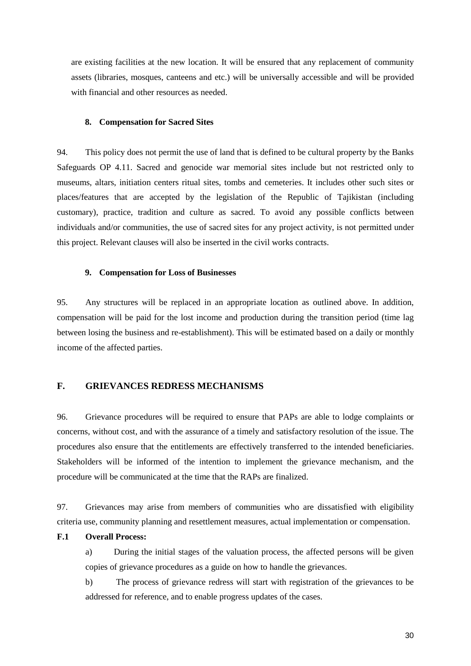are existing facilities at the new location. It will be ensured that any replacement of community assets (libraries, mosques, canteens and etc.) will be universally accessible and will be provided with financial and other resources as needed.

#### **8. Compensation for Sacred Sites**

94. This policy does not permit the use of land that is defined to be cultural property by the Banks Safeguards OP 4.11. Sacred and genocide war memorial sites include but not restricted only to museums, altars, initiation centers ritual sites, tombs and cemeteries. It includes other such sites or places/features that are accepted by the legislation of the Republic of Tajikistan (including customary), practice, tradition and culture as sacred. To avoid any possible conflicts between individuals and/or communities, the use of sacred sites for any project activity, is not permitted under this project. Relevant clauses will also be inserted in the civil works contracts.

#### **9. Compensation for Loss of Businesses**

95. Any structures will be replaced in an appropriate location as outlined above. In addition, compensation will be paid for the lost income and production during the transition period (time lag between losing the business and re-establishment). This will be estimated based on a daily or monthly income of the affected parties.

# <span id="page-40-0"></span>**F. GRIEVANCES REDRESS MECHANISMS**

96. Grievance procedures will be required to ensure that PAPs are able to lodge complaints or concerns, without cost, and with the assurance of a timely and satisfactory resolution of the issue. The procedures also ensure that the entitlements are effectively transferred to the intended beneficiaries. Stakeholders will be informed of the intention to implement the grievance mechanism, and the procedure will be communicated at the time that the RAPs are finalized.

97. Grievances may arise from members of communities who are dissatisfied with eligibility criteria use, community planning and resettlement measures, actual implementation or compensation.

#### <span id="page-40-1"></span>**F.1 Overall Process:**

a) During the initial stages of the valuation process, the affected persons will be given copies of grievance procedures as a guide on how to handle the grievances.

b) The process of grievance redress will start with registration of the grievances to be addressed for reference, and to enable progress updates of the cases.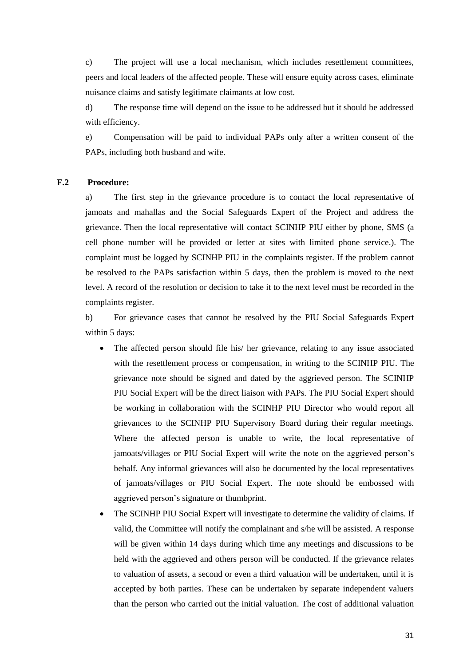c) The project will use a local mechanism, which includes resettlement committees, peers and local leaders of the affected people. These will ensure equity across cases, eliminate nuisance claims and satisfy legitimate claimants at low cost.

d) The response time will depend on the issue to be addressed but it should be addressed with efficiency.

e) Compensation will be paid to individual PAPs only after a written consent of the PAPs, including both husband and wife.

#### **F.2 Procedure:**

a) The first step in the grievance procedure is to contact the local representative of jamoats and mahallas and the Social Safeguards Expert of the Project and address the grievance. Then the local representative will contact SCINHP PIU either by phone, SMS (a cell phone number will be provided or letter at sites with limited phone service.). The complaint must be logged by SCINHP PIU in the complaints register. If the problem cannot be resolved to the PAPs satisfaction within 5 days, then the problem is moved to the next level. A record of the resolution or decision to take it to the next level must be recorded in the complaints register.

b) For grievance cases that cannot be resolved by the PIU Social Safeguards Expert within 5 days:

- The affected person should file his/ her grievance, relating to any issue associated with the resettlement process or compensation, in writing to the SCINHP PIU. The grievance note should be signed and dated by the aggrieved person. The SCINHP PIU Social Expert will be the direct liaison with PAPs. The PIU Social Expert should be working in collaboration with the SCINHP PIU Director who would report all grievances to the SCINHP PIU Supervisory Board during their regular meetings. Where the affected person is unable to write, the local representative of jamoats/villages or PIU Social Expert will write the note on the aggrieved person's behalf. Any informal grievances will also be documented by the local representatives of jamoats/villages or PIU Social Expert. The note should be embossed with aggrieved person's signature or thumbprint.
- The SCINHP PIU Social Expert will investigate to determine the validity of claims. If valid, the Committee will notify the complainant and s/he will be assisted. A response will be given within 14 days during which time any meetings and discussions to be held with the aggrieved and others person will be conducted. If the grievance relates to valuation of assets, a second or even a third valuation will be undertaken, until it is accepted by both parties. These can be undertaken by separate independent valuers than the person who carried out the initial valuation. The cost of additional valuation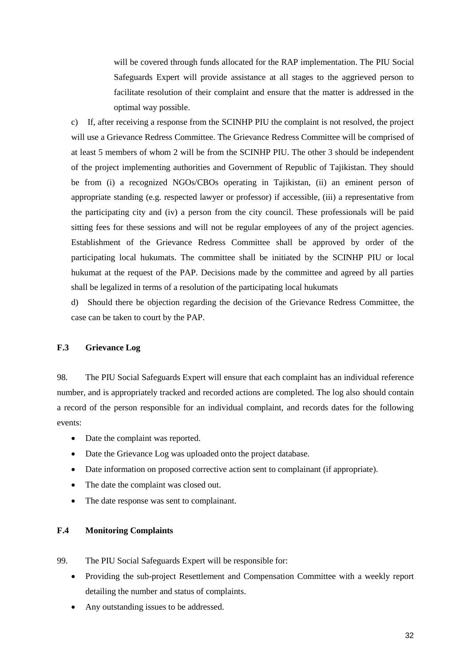will be covered through funds allocated for the RAP implementation. The PIU Social Safeguards Expert will provide assistance at all stages to the aggrieved person to facilitate resolution of their complaint and ensure that the matter is addressed in the optimal way possible.

c) If, after receiving a response from the SCINHP PIU the complaint is not resolved, the project will use a Grievance Redress Committee. The Grievance Redress Committee will be comprised of at least 5 members of whom 2 will be from the SCINHP PIU. The other 3 should be independent of the project implementing authorities and Government of Republic of Tajikistan. They should be from (i) a recognized NGOs/CBOs operating in Tajikistan, (ii) an eminent person of appropriate standing (e.g. respected lawyer or professor) if accessible, (iii) a representative from the participating city and (iv) a person from the city council. These professionals will be paid sitting fees for these sessions and will not be regular employees of any of the project agencies. Establishment of the Grievance Redress Committee shall be approved by order of the participating local hukumats. The committee shall be initiated by the SCINHP PIU or local hukumat at the request of the PAP. Decisions made by the committee and agreed by all parties shall be legalized in terms of a resolution of the participating local hukumats

d) Should there be objection regarding the decision of the Grievance Redress Committee, the case can be taken to court by the PAP.

#### <span id="page-42-0"></span>**F.3 Grievance Log**

98. The PIU Social Safeguards Expert will ensure that each complaint has an individual reference number, and is appropriately tracked and recorded actions are completed. The log also should contain a record of the person responsible for an individual complaint, and records dates for the following events:

- Date the complaint was reported.
- Date the Grievance Log was uploaded onto the project database.
- Date information on proposed corrective action sent to complainant (if appropriate).
- The date the complaint was closed out.
- The date response was sent to complainant.

#### <span id="page-42-1"></span>**F.4 Monitoring Complaints**

99. The PIU Social Safeguards Expert will be responsible for:

- Providing the sub-project Resettlement and Compensation Committee with a weekly report detailing the number and status of complaints.
- Any outstanding issues to be addressed.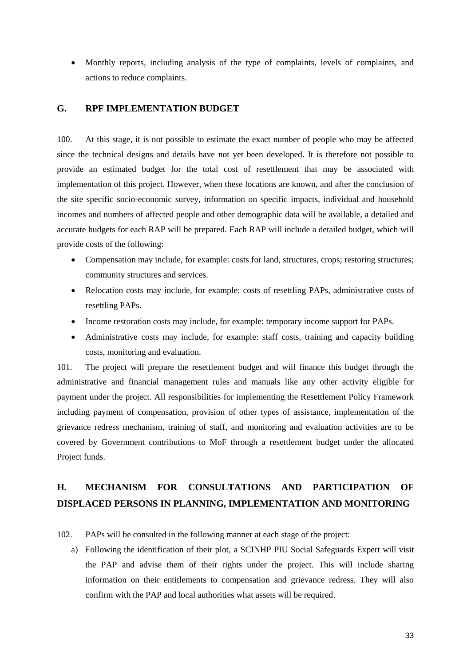• Monthly reports, including analysis of the type of complaints, levels of complaints, and actions to reduce complaints.

# <span id="page-43-0"></span>**G. RPF IMPLEMENTATION BUDGET**

100. At this stage, it is not possible to estimate the exact number of people who may be affected since the technical designs and details have not yet been developed. It is therefore not possible to provide an estimated budget for the total cost of resettlement that may be associated with implementation of this project. However, when these locations are known, and after the conclusion of the site specific socio-economic survey, information on specific impacts, individual and household incomes and numbers of affected people and other demographic data will be available, a detailed and accurate budgets for each RAP will be prepared. Each RAP will include a detailed budget, which will provide costs of the following:

- Compensation may include, for example: costs for land, structures, crops; restoring structures; community structures and services.
- Relocation costs may include, for example: costs of resettling PAPs, administrative costs of resettling PAPs.
- Income restoration costs may include, for example: temporary income support for PAPs.
- Administrative costs may include, for example: staff costs, training and capacity building costs, monitoring and evaluation.

101. The project will prepare the resettlement budget and will finance this budget through the administrative and financial management rules and manuals like any other activity eligible for payment under the project. All responsibilities for implementing the Resettlement Policy Framework including payment of compensation, provision of other types of assistance, implementation of the grievance redress mechanism, training of staff, and monitoring and evaluation activities are to be covered by Government contributions to MoF through a resettlement budget under the allocated Project funds.

# <span id="page-43-1"></span>**H. MECHANISM FOR CONSULTATIONS AND PARTICIPATION OF DISPLACED PERSONS IN PLANNING, IMPLEMENTATION AND MONITORING**

102. PAPs will be consulted in the following manner at each stage of the project:

a) Following the identification of their plot, a SCINHP PIU Social Safeguards Expert will visit the PAP and advise them of their rights under the project. This will include sharing information on their entitlements to compensation and grievance redress. They will also confirm with the PAP and local authorities what assets will be required.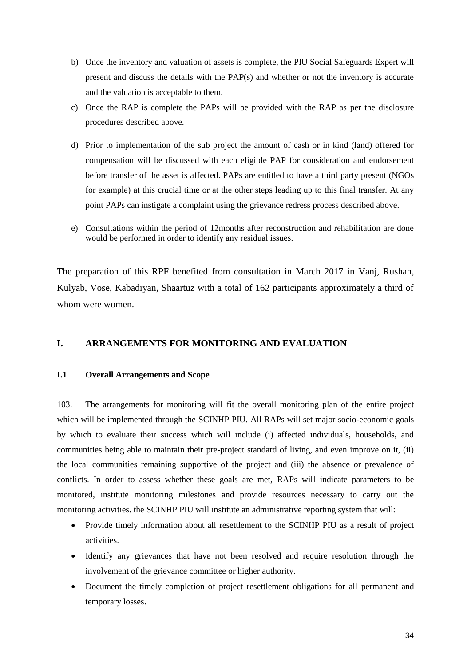- b) Once the inventory and valuation of assets is complete, the PIU Social Safeguards Expert will present and discuss the details with the PAP(s) and whether or not the inventory is accurate and the valuation is acceptable to them.
- c) Once the RAP is complete the PAPs will be provided with the RAP as per the disclosure procedures described above.
- d) Prior to implementation of the sub project the amount of cash or in kind (land) offered for compensation will be discussed with each eligible PAP for consideration and endorsement before transfer of the asset is affected. PAPs are entitled to have a third party present (NGOs for example) at this crucial time or at the other steps leading up to this final transfer. At any point PAPs can instigate a complaint using the grievance redress process described above.
- e) Consultations within the period of 12months after reconstruction and rehabilitation are done would be performed in order to identify any residual issues.

The preparation of this RPF benefited from consultation in March 2017 in Vanj, Rushan, Kulyab, Vose, Kabadiyan, Shaartuz with a total of 162 participants approximately a third of whom were women.

# <span id="page-44-0"></span>**I. ARRANGEMENTS FOR MONITORING AND EVALUATION**

#### <span id="page-44-1"></span>**I.1 Overall Arrangements and Scope**

103. The arrangements for monitoring will fit the overall monitoring plan of the entire project which will be implemented through the SCINHP PIU. All RAPs will set major socio-economic goals by which to evaluate their success which will include (i) affected individuals, households, and communities being able to maintain their pre-project standard of living, and even improve on it, (ii) the local communities remaining supportive of the project and (iii) the absence or prevalence of conflicts. In order to assess whether these goals are met, RAPs will indicate parameters to be monitored, institute monitoring milestones and provide resources necessary to carry out the monitoring activities. the SCINHP PIU will institute an administrative reporting system that will:

- Provide timely information about all resettlement to the SCINHP PIU as a result of project activities.
- Identify any grievances that have not been resolved and require resolution through the involvement of the grievance committee or higher authority.
- Document the timely completion of project resettlement obligations for all permanent and temporary losses.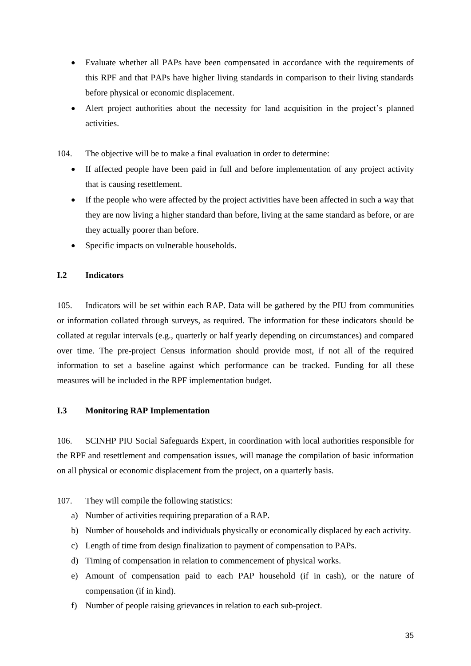- Evaluate whether all PAPs have been compensated in accordance with the requirements of this RPF and that PAPs have higher living standards in comparison to their living standards before physical or economic displacement.
- Alert project authorities about the necessity for land acquisition in the project's planned activities.
- 104. The objective will be to make a final evaluation in order to determine:
	- If affected people have been paid in full and before implementation of any project activity that is causing resettlement.
	- If the people who were affected by the project activities have been affected in such a way that they are now living a higher standard than before, living at the same standard as before, or are they actually poorer than before.
	- Specific impacts on vulnerable households.

# <span id="page-45-0"></span>**I.2 Indicators**

105. Indicators will be set within each RAP. Data will be gathered by the PIU from communities or information collated through surveys, as required. The information for these indicators should be collated at regular intervals (e.g., quarterly or half yearly depending on circumstances) and compared over time. The pre-project Census information should provide most, if not all of the required information to set a baseline against which performance can be tracked. Funding for all these measures will be included in the RPF implementation budget.

## <span id="page-45-1"></span>**I.3 Monitoring RAP Implementation**

106. SCINHP PIU Social Safeguards Expert, in coordination with local authorities responsible for the RPF and resettlement and compensation issues, will manage the compilation of basic information on all physical or economic displacement from the project, on a quarterly basis.

## 107. They will compile the following statistics:

- a) Number of activities requiring preparation of a RAP.
- b) Number of households and individuals physically or economically displaced by each activity.
- c) Length of time from design finalization to payment of compensation to PAPs.
- d) Timing of compensation in relation to commencement of physical works.
- e) Amount of compensation paid to each PAP household (if in cash), or the nature of compensation (if in kind).
- f) Number of people raising grievances in relation to each sub-project.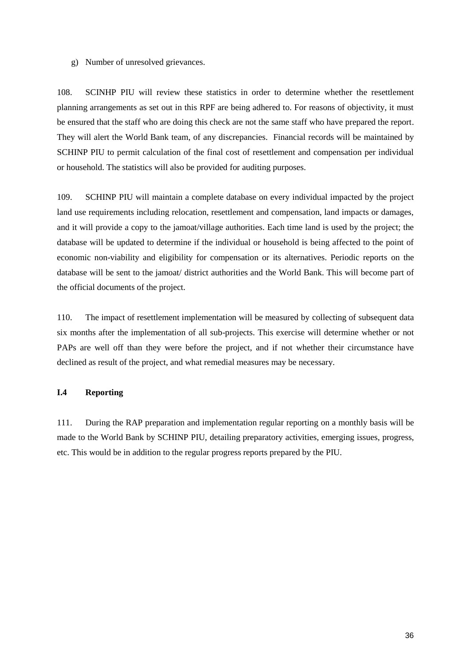g) Number of unresolved grievances.

108. SCINHP PIU will review these statistics in order to determine whether the resettlement planning arrangements as set out in this RPF are being adhered to. For reasons of objectivity, it must be ensured that the staff who are doing this check are not the same staff who have prepared the report. They will alert the World Bank team, of any discrepancies. Financial records will be maintained by SCHINP PIU to permit calculation of the final cost of resettlement and compensation per individual or household. The statistics will also be provided for auditing purposes.

109. SCHINP PIU will maintain a complete database on every individual impacted by the project land use requirements including relocation, resettlement and compensation, land impacts or damages, and it will provide a copy to the jamoat/village authorities. Each time land is used by the project; the database will be updated to determine if the individual or household is being affected to the point of economic non-viability and eligibility for compensation or its alternatives. Periodic reports on the database will be sent to the jamoat/ district authorities and the World Bank. This will become part of the official documents of the project.

110. The impact of resettlement implementation will be measured by collecting of subsequent data six months after the implementation of all sub-projects. This exercise will determine whether or not PAPs are well off than they were before the project, and if not whether their circumstance have declined as result of the project, and what remedial measures may be necessary.

#### **I.4 Reporting**

111. During the RAP preparation and implementation regular reporting on a monthly basis will be made to the World Bank by SCHINP PIU, detailing preparatory activities, emerging issues, progress, etc. This would be in addition to the regular progress reports prepared by the PIU.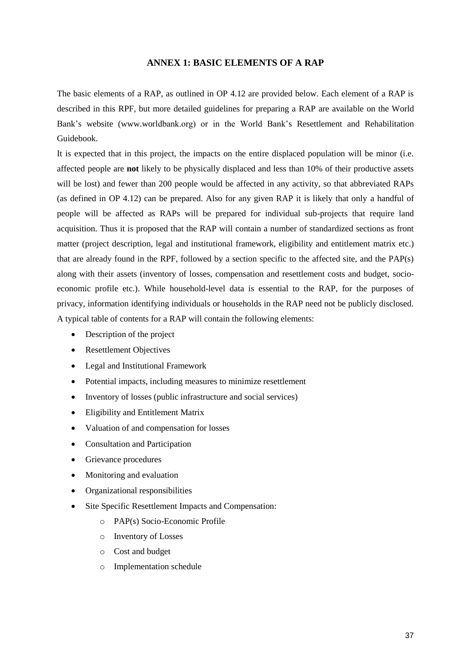#### **ANNEX 1: BASIC ELEMENTS OF A RAP**

<span id="page-47-0"></span>The basic elements of a RAP, as outlined in OP 4.12 are provided below. Each element of a RAP is described in this RPF, but more detailed guidelines for preparing a RAP are available on the World Bank's website (www.worldbank.org) or in the World Bank's Resettlement and Rehabilitation Guidebook.

It is expected that in this project, the impacts on the entire displaced population will be minor (i.e. affected people are **not** likely to be physically displaced and less than 10% of their productive assets will be lost) and fewer than 200 people would be affected in any activity, so that abbreviated RAPs (as defined in OP 4.12) can be prepared. Also for any given RAP it is likely that only a handful of people will be affected as RAPs will be prepared for individual sub-projects that require land acquisition. Thus it is proposed that the RAP will contain a number of standardized sections as front matter (project description, legal and institutional framework, eligibility and entitlement matrix etc.) that are already found in the RPF, followed by a section specific to the affected site, and the PAP(s) along with their assets (inventory of losses, compensation and resettlement costs and budget, socioeconomic profile etc.). While household-level data is essential to the RAP, for the purposes of privacy, information identifying individuals or households in the RAP need not be publicly disclosed. A typical table of contents for a RAP will contain the following elements:

- Description of the project
- Resettlement Objectives
- Legal and Institutional Framework
- Potential impacts, including measures to minimize resettlement
- Inventory of losses (public infrastructure and social services)
- Eligibility and Entitlement Matrix
- Valuation of and compensation for losses
- Consultation and Participation
- Grievance procedures
- Monitoring and evaluation
- Organizational responsibilities
- Site Specific Resettlement Impacts and Compensation:
	- o PAP(s) Socio-Economic Profile
	- o Inventory of Losses
	- o Cost and budget
	- o Implementation schedule